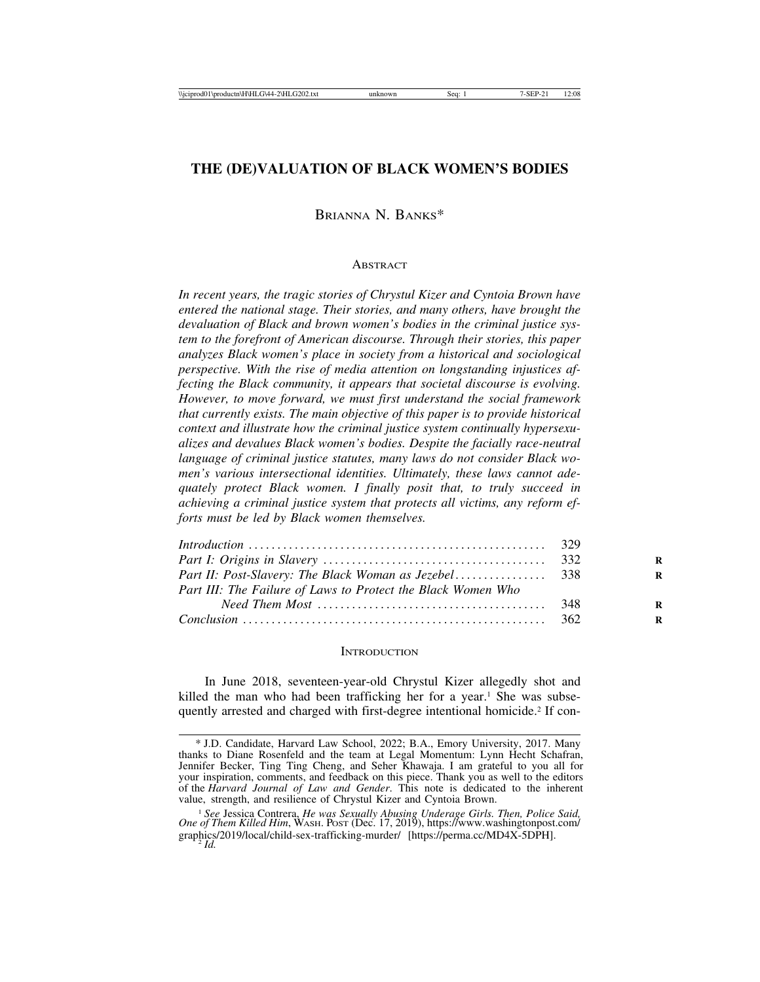# **THE (DE)VALUATION OF BLACK WOMEN'S BODIES**

### BRIANNA N. BANKS\*

#### **ABSTRACT**

*In recent years, the tragic stories of Chrystul Kizer and Cyntoia Brown have entered the national stage. Their stories, and many others, have brought the devaluation of Black and brown women's bodies in the criminal justice system to the forefront of American discourse. Through their stories, this paper analyzes Black women's place in society from a historical and sociological perspective. With the rise of media attention on longstanding injustices affecting the Black community, it appears that societal discourse is evolving. However, to move forward, we must first understand the social framework that currently exists. The main objective of this paper is to provide historical context and illustrate how the criminal justice system continually hypersexualizes and devalues Black women's bodies. Despite the facially race-neutral language of criminal justice statutes, many laws do not consider Black women's various intersectional identities. Ultimately, these laws cannot adequately protect Black women. I finally posit that, to truly succeed in achieving a criminal justice system that protects all victims, any reform efforts must be led by Black women themselves.*

| Part III: The Failure of Laws to Protect the Black Women Who |  |
|--------------------------------------------------------------|--|
|                                                              |  |
|                                                              |  |

#### **INTRODUCTION**

In June 2018, seventeen-year-old Chrystul Kizer allegedly shot and killed the man who had been trafficking her for a year.<sup>1</sup> She was subsequently arrested and charged with first-degree intentional homicide.2 If con-

<sup>\*</sup> J.D. Candidate, Harvard Law School, 2022; B.A., Emory University, 2017. Many thanks to Diane Rosenfeld and the team at Legal Momentum: Lynn Hecht Schafran, Jennifer Becker, Ting Ting Cheng, and Seher Khawaja. I am grateful to you all for your inspiration, comments, and feedback on this piece. Thank you as well to the editors of the *Harvard Journal of Law and Gender*. This note is dedicated to the inherent value, strength, and resilience of Chrystul Kizer and Cyntoia Brown.

<sup>1</sup> *See* Jessica Contrera, *He was Sexually Abusing Underage Girls. Then, Police Said, One of Them Killed Him*, WASH. POST (Dec. 17, 2019), https://www.washingtonpost.com/ graphics/2019/local/child-sex-trafficking-murder/ [https://perma.cc/MD4X-5DPH]. <sup>2</sup> *Id.*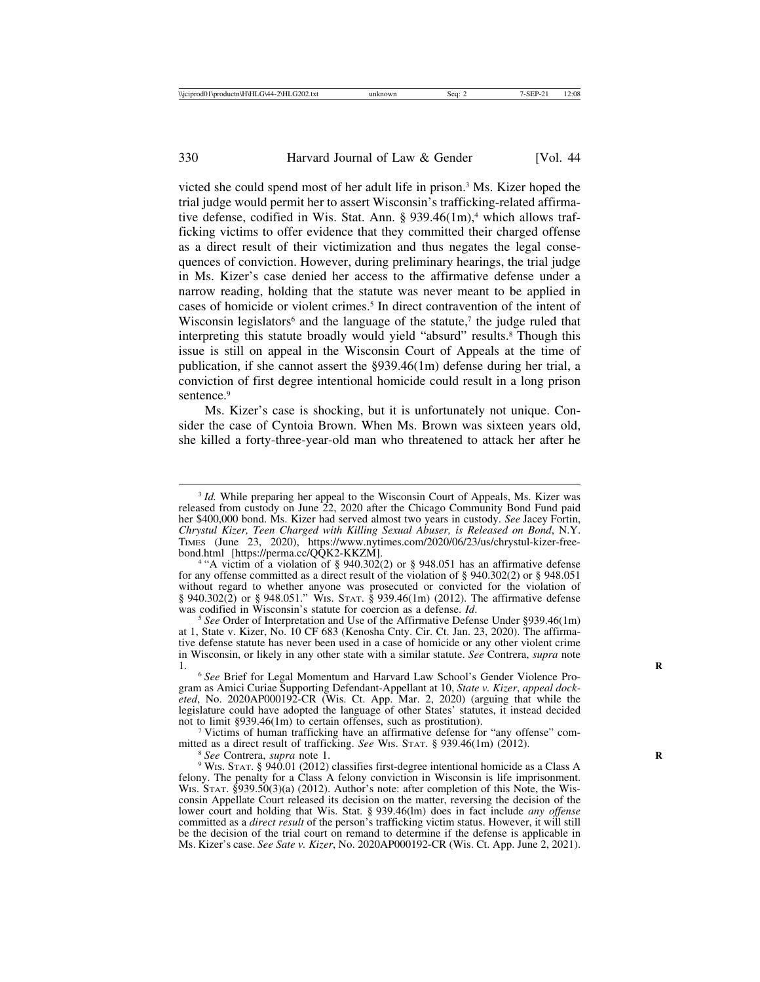victed she could spend most of her adult life in prison.3 Ms. Kizer hoped the trial judge would permit her to assert Wisconsin's trafficking-related affirmative defense, codified in Wis. Stat. Ann.  $\S 939.46(1m)^4$ , which allows trafficking victims to offer evidence that they committed their charged offense as a direct result of their victimization and thus negates the legal consequences of conviction. However, during preliminary hearings, the trial judge in Ms. Kizer's case denied her access to the affirmative defense under a narrow reading, holding that the statute was never meant to be applied in cases of homicide or violent crimes.<sup>5</sup> In direct contravention of the intent of Wisconsin legislators<sup>6</sup> and the language of the statute,<sup>7</sup> the judge ruled that interpreting this statute broadly would yield "absurd" results.<sup>8</sup> Though this issue is still on appeal in the Wisconsin Court of Appeals at the time of publication, if she cannot assert the §939.46(1m) defense during her trial, a conviction of first degree intentional homicide could result in a long prison sentence.<sup>9</sup>

Ms. Kizer's case is shocking, but it is unfortunately not unique. Consider the case of Cyntoia Brown. When Ms. Brown was sixteen years old, she killed a forty-three-year-old man who threatened to attack her after he

<sup>4</sup> "A victim of a violation of § 940.302(2) or § 948.051 has an affirmative defense for any offense committed as a direct result of the violation of  $\S$  940.302(2) or  $\S$  948.051 without regard to whether anyone was prosecuted or convicted for the violation of § 940.302(2) or § 948.051." WIS. STAT. § 939.46(1m) (2012). The affirmative defense was codified in Wisconsin's statute for coercion as a defense. *Id*.

<sup>&</sup>lt;sup>3</sup> *Id.* While preparing her appeal to the Wisconsin Court of Appeals, Ms. Kizer was released from custody on June 22, 2020 after the Chicago Community Bond Fund paid her \$400,000 bond. Ms. Kizer had served almost two years in custody. *See* Jacey Fortin, *Chrystul Kizer, Teen Charged with Killing Sexual Abuser, is Released on Bond*, N.Y. TIMES (June 23, 2020), https://www.nytimes.com/2020/06/23/us/chrystul-kizer-free-bond.html [https://perma.cc/QQK2-KKZM].

<sup>&</sup>lt;sup>5</sup> See Order of Interpretation and Use of the Affirmative Defense Under §939.46(1m) at 1, State v. Kizer, No. 10 CF 683 (Kenosha Cnty. Cir. Ct. Jan. 23, 2020). The affirmative defense statute has never been used in a case of homicide or any other violent crime in Wisconsin, or likely in any other state with a similar statute. *See* Contrera, *supra* note

<sup>&</sup>lt;sup>6</sup> See Brief for Legal Momentum and Harvard Law School's Gender Violence Program as Amici Curiae Supporting Defendant-Appellant at 10, *State v. Kizer*, *appeal docketed*, No. 2020AP000192-CR (Wis. Ct. App. Mar. 2, 2020) (arguing that while the legislature could have adopted the language of other States' statutes, it instead decided not to limit §939.46(1m) to certain offenses, such as prostitution).

<sup>&</sup>lt;sup>7</sup> Victims of human trafficking have an affirmative defense for "any offense" com-<br>mitted as a direct result of trafficking. *See* Wis. STAT. § 939.46(1m) (2012).

<sup>&</sup>lt;sup>8</sup> See Contrera, *supra* note 1.<br><sup>9</sup> Wis. Stat. § 940.01 (2012) classifies first-degree intentional homicide as a Class A felony. The penalty for a Class A felony conviction in Wisconsin is life imprisonment. WIS. STAT. §939.50(3)(a) (2012). Author's note: after completion of this Note, the Wisconsin Appellate Court released its decision on the matter, reversing the decision of the lower court and holding that Wis. Stat. § 939.46(lm) does in fact include *any offense* committed as a *direct result* of the person's trafficking victim status. However, it will still be the decision of the trial court on remand to determine if the defense is applicable in Ms. Kizer's case. *See Sate v. Kizer*, No. 2020AP000192-CR (Wis. Ct. App. June 2, 2021).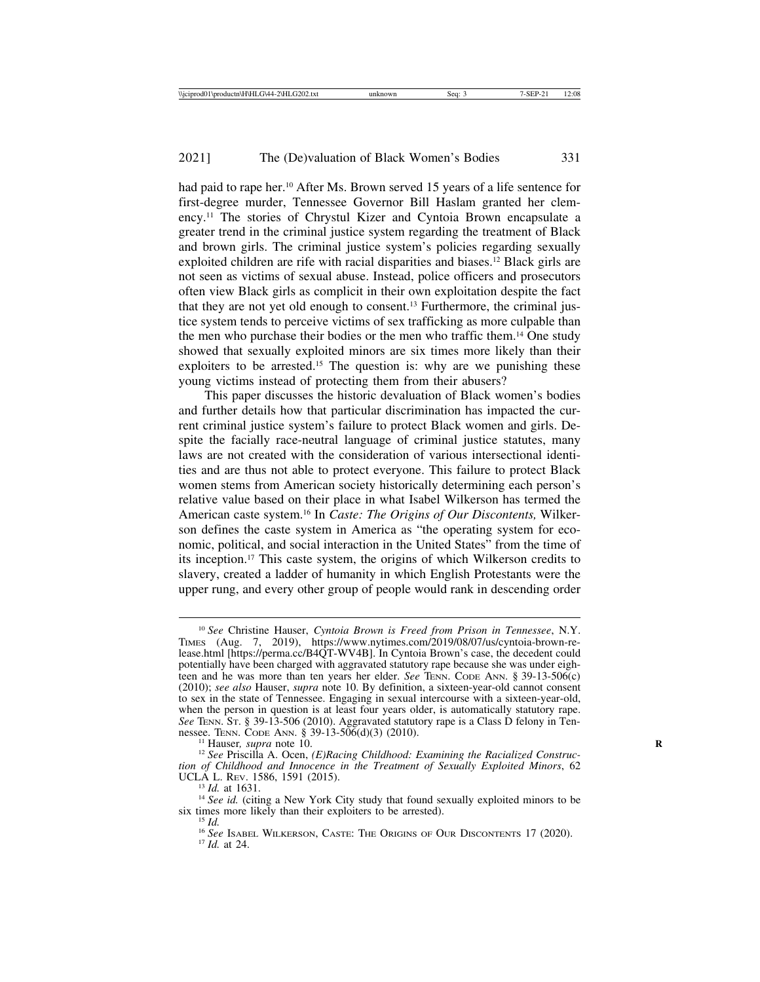had paid to rape her.<sup>10</sup> After Ms. Brown served 15 years of a life sentence for first-degree murder, Tennessee Governor Bill Haslam granted her clemency.11 The stories of Chrystul Kizer and Cyntoia Brown encapsulate a greater trend in the criminal justice system regarding the treatment of Black and brown girls. The criminal justice system's policies regarding sexually exploited children are rife with racial disparities and biases.12 Black girls are not seen as victims of sexual abuse. Instead, police officers and prosecutors often view Black girls as complicit in their own exploitation despite the fact that they are not yet old enough to consent.13 Furthermore, the criminal justice system tends to perceive victims of sex trafficking as more culpable than the men who purchase their bodies or the men who traffic them.14 One study showed that sexually exploited minors are six times more likely than their exploiters to be arrested.<sup>15</sup> The question is: why are we punishing these young victims instead of protecting them from their abusers?

This paper discusses the historic devaluation of Black women's bodies and further details how that particular discrimination has impacted the current criminal justice system's failure to protect Black women and girls. Despite the facially race-neutral language of criminal justice statutes, many laws are not created with the consideration of various intersectional identities and are thus not able to protect everyone. This failure to protect Black women stems from American society historically determining each person's relative value based on their place in what Isabel Wilkerson has termed the American caste system.16 In *Caste: The Origins of Our Discontents,* Wilkerson defines the caste system in America as "the operating system for economic, political, and social interaction in the United States" from the time of its inception.17 This caste system, the origins of which Wilkerson credits to slavery, created a ladder of humanity in which English Protestants were the upper rung, and every other group of people would rank in descending order

<sup>10</sup> *See* Christine Hauser, *Cyntoia Brown is Freed from Prison in Tennessee*, N.Y. TIMES (Aug. 7, 2019), https://www.nytimes.com/2019/08/07/us/cyntoia-brown-release.html [https://perma.cc/B4QT-WV4B]. In Cyntoia Brown's case, the decedent could potentially have been charged with aggravated statutory rape because she was under eighteen and he was more than ten years her elder. *See* TENN. CODE ANN. § 39-13-506(c) (2010); *see also* Hauser, *supra* note 10. By definition, a sixteen-year-old cannot consent to sex in the state of Tennessee. Engaging in sexual intercourse with a sixteen-year-old, when the person in question is at least four years older, is automatically statutory rape. *See* TENN. ST. § 39-13-506 (2010). Aggravated statutory rape is a Class D felony in Tennessee. TENN. CODE ANN. § 39-13-506(d)(3) (2010).

<sup>&</sup>lt;sup>11</sup> Hauser, *supra* note 10.<br><sup>12</sup> See Priscilla A. Ocen, *(E)Racing Childhood: Examining the Racialized Construction of Childhood and Innocence in the Treatment of Sexually Exploited Minors*, 62

<sup>&</sup>lt;sup>13</sup> *Id.* at 1631. <sup>14</sup> *See id.* (citing a New York City study that found sexually exploited minors to be six times more likely than their exploiters to be arrested).

<sup>&</sup>lt;sup>15</sup> *Id.* 16 *See* Isabel Wilkerson, Caste: The Origins of Our Discontents 17 (2020). 17 *Id.* at 24.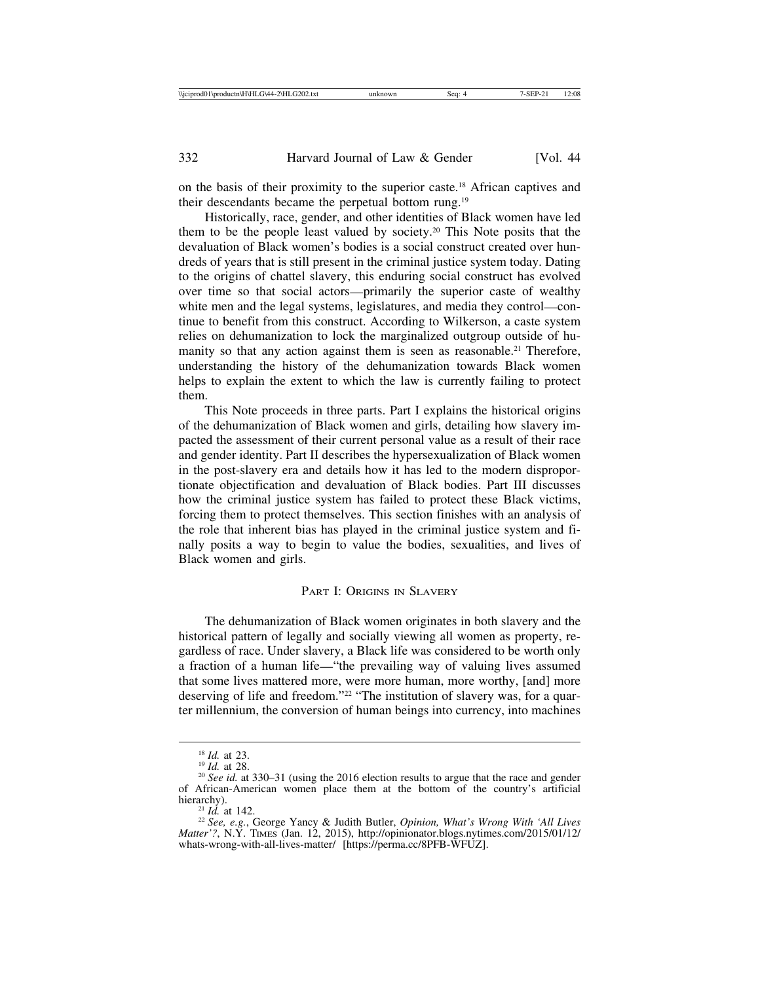on the basis of their proximity to the superior caste.18 African captives and their descendants became the perpetual bottom rung.19

Historically, race, gender, and other identities of Black women have led them to be the people least valued by society.20 This Note posits that the devaluation of Black women's bodies is a social construct created over hundreds of years that is still present in the criminal justice system today. Dating to the origins of chattel slavery, this enduring social construct has evolved over time so that social actors—primarily the superior caste of wealthy white men and the legal systems, legislatures, and media they control—continue to benefit from this construct. According to Wilkerson, a caste system relies on dehumanization to lock the marginalized outgroup outside of humanity so that any action against them is seen as reasonable.<sup>21</sup> Therefore, understanding the history of the dehumanization towards Black women helps to explain the extent to which the law is currently failing to protect them.

This Note proceeds in three parts. Part I explains the historical origins of the dehumanization of Black women and girls, detailing how slavery impacted the assessment of their current personal value as a result of their race and gender identity. Part II describes the hypersexualization of Black women in the post-slavery era and details how it has led to the modern disproportionate objectification and devaluation of Black bodies. Part III discusses how the criminal justice system has failed to protect these Black victims, forcing them to protect themselves. This section finishes with an analysis of the role that inherent bias has played in the criminal justice system and finally posits a way to begin to value the bodies, sexualities, and lives of Black women and girls.

### PART I: ORIGINS IN SLAVERY

The dehumanization of Black women originates in both slavery and the historical pattern of legally and socially viewing all women as property, regardless of race. Under slavery, a Black life was considered to be worth only a fraction of a human life—"the prevailing way of valuing lives assumed that some lives mattered more, were more human, more worthy, [and] more deserving of life and freedom."22 "The institution of slavery was, for a quarter millennium, the conversion of human beings into currency, into machines

<sup>&</sup>lt;sup>18</sup> *Id.* at 23.<br><sup>19</sup> *Id.* at 28.<br><sup>20</sup> *See id.* at 330–31 (using the 2016 election results to argue that the race and gender of African-American women place them at the bottom of the country's artificial

<sup>&</sup>lt;sup>21</sup> *Id.* at 142. 22 *See, e.g.*, George Yancy & Judith Butler, *Opinion, What's Wrong With 'All Lives Matter'?*, N.Y. TIMES (Jan. 12, 2015), http://opinionator.blogs.nytimes.com/2015/01/12/ whats-wrong-with-all-lives-matter/ [https://perma.cc/8PFB-WFUZ].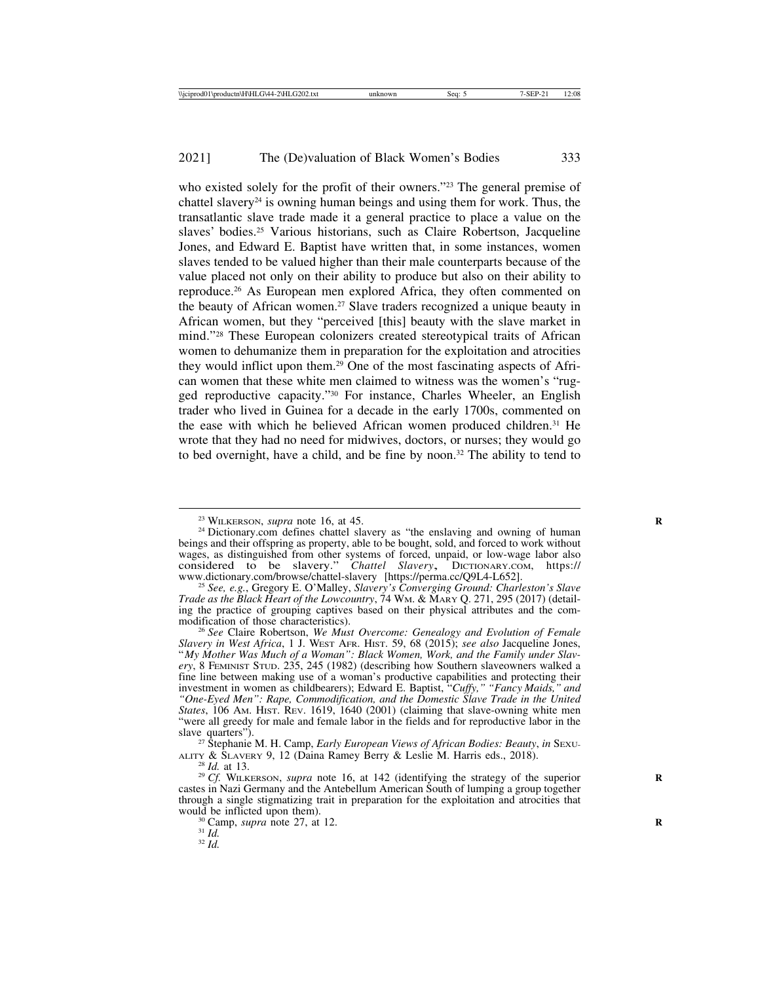who existed solely for the profit of their owners."<sup>23</sup> The general premise of chattel slavery<sup>24</sup> is owning human beings and using them for work. Thus, the transatlantic slave trade made it a general practice to place a value on the slaves' bodies.25 Various historians, such as Claire Robertson, Jacqueline Jones, and Edward E. Baptist have written that, in some instances, women slaves tended to be valued higher than their male counterparts because of the value placed not only on their ability to produce but also on their ability to reproduce.26 As European men explored Africa, they often commented on the beauty of African women.<sup>27</sup> Slave traders recognized a unique beauty in African women, but they "perceived [this] beauty with the slave market in mind."28 These European colonizers created stereotypical traits of African women to dehumanize them in preparation for the exploitation and atrocities they would inflict upon them.29 One of the most fascinating aspects of African women that these white men claimed to witness was the women's "rugged reproductive capacity."30 For instance, Charles Wheeler, an English trader who lived in Guinea for a decade in the early 1700s, commented on the ease with which he believed African women produced children.31 He wrote that they had no need for midwives, doctors, or nurses; they would go to bed overnight, have a child, and be fine by noon.<sup>32</sup> The ability to tend to

<sup>&</sup>lt;sup>23</sup> WILKERSON, *supra* note 16, at 45.<br><sup>24</sup> Dictionary.com defines chattel slavery as "the enslaving and owning of human beings and their offspring as property, able to be bought, sold, and forced to work without wages, as distinguished from other systems of forced, unpaid, or low-wage labor also considered to be slavery." *Chattel Slavery*, DICTIONARY.COM, https:// www.dictionary.com/browse/chattel-slavery [https://perma.cc/Q9L4-L652]. <sup>25</sup> *See, e.g.*, Gregory E. O'Malley, *Slavery's Converging Ground: Charleston's Slave*

*Trade as the Black Heart of the Lowcountry*, 74 WM. & MARY Q. 271, 295 (2017) (detailing the practice of grouping captives based on their physical attributes and the com-

<sup>&</sup>lt;sup>26</sup> See Claire Robertson, We Must Overcome: Genealogy and Evolution of Female *Slavery in West Africa*, 1 J. WEST AFR. HIST. 59, 68 (2015); *see also* Jacqueline Jones, "*My Mother Was Much of a Woman": Black Women, Work, and the Family under Slavery*, 8 FEMINIST STUD. 235, 245 (1982) (describing how Southern slaveowners walked a fine line between making use of a woman's productive capabilities and protecting their investment in women as childbearers); Edward E. Baptist, "*Cuffy," "Fancy Maids," and "One-Eyed Men": Rape, Commodification, and the Domestic Slave Trade in the United States*, 106 AM. HIST. REV. 1619, 1640 (2001) (claiming that slave-owning white men "were all greedy for male and female labor in the fields and for reproductive labor in the

slave quarters").<br><sup>27</sup> Stephanie M. H. Camp, *Early European Views of African Bodies: Beauty*, *in* Sexu-<br>ALITY & SLAVERY 9, 12 (Daina Ramey Berry & Leslie M. Harris eds., 2018).

<sup>&</sup>lt;sup>28</sup> *Id.* at 13. <sup>29</sup> *Cf.* WILKERSON, *supra* note 16, at 142 (identifying the strategy of the superior castes in Nazi Germany and the Antebellum American South of lumping a group together through a single stigmatizing trait in preparation for the exploitation and atrocities that would be inflicted upon them).<br><sup>30</sup> Camp, *supra* note 27, at 12.<br><sup>31</sup> *Id.* <sup>32</sup> *Id.*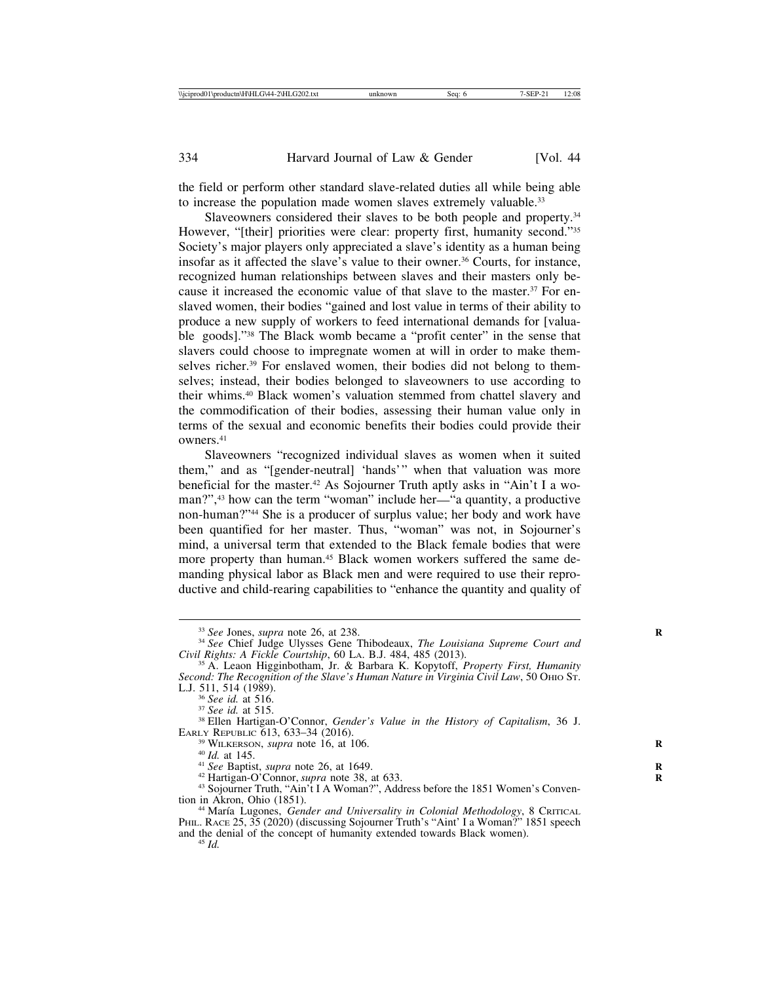the field or perform other standard slave-related duties all while being able to increase the population made women slaves extremely valuable.<sup>33</sup>

Slaveowners considered their slaves to be both people and property.<sup>34</sup> However, "[their] priorities were clear: property first, humanity second."<sup>35</sup> Society's major players only appreciated a slave's identity as a human being insofar as it affected the slave's value to their owner.<sup>36</sup> Courts, for instance, recognized human relationships between slaves and their masters only because it increased the economic value of that slave to the master.37 For enslaved women, their bodies "gained and lost value in terms of their ability to produce a new supply of workers to feed international demands for [valuable goods]."38 The Black womb became a "profit center" in the sense that slavers could choose to impregnate women at will in order to make themselves richer.<sup>39</sup> For enslaved women, their bodies did not belong to themselves; instead, their bodies belonged to slaveowners to use according to their whims.40 Black women's valuation stemmed from chattel slavery and the commodification of their bodies, assessing their human value only in terms of the sexual and economic benefits their bodies could provide their owners.41

Slaveowners "recognized individual slaves as women when it suited them," and as "[gender-neutral] 'hands'" when that valuation was more beneficial for the master.42 As Sojourner Truth aptly asks in "Ain't I a woman?",43 how can the term "woman" include her—"a quantity, a productive non-human?"44 She is a producer of surplus value; her body and work have been quantified for her master. Thus, "woman" was not, in Sojourner's mind, a universal term that extended to the Black female bodies that were more property than human.45 Black women workers suffered the same demanding physical labor as Black men and were required to use their reproductive and child-rearing capabilities to "enhance the quantity and quality of

<sup>&</sup>lt;sup>33</sup> *See* Jones, *supra* note 26, at 238.<br><sup>34</sup> *See* Chief Judge Ulysses Gene Thibodeaux, *The Louisiana Supreme Court and Civil Rights: A Fickle Courtship*, 60 LA. B.J. 484, 485 (2013).

<sup>&</sup>lt;sup>35</sup> A. Leaon Higginbotham, Jr. & Barbara K. Kopytoff, *Property First, Humanity Second: The Recognition of the Slave's Human Nature in Virginia Civil Law*, 50 OHIO ST. L.J. 511, 514 (1989).<br> $36$  See id. at 516.

<sup>&</sup>lt;sup>37</sup> *See id.* at 515. 38 Ellen Hartigan-O'Connor, *Gender's Value in the History of Capitalism*, 36 J. EARLY REPUBLIC 613, 633–34 (2016).

<sup>&</sup>lt;sup>39</sup> WILKERSON, *supra* note 16, at 106.<br>
<sup>40</sup> *Id.* at 145.<br>
<sup>41</sup> *See* Baptist, *supra* note 26, at 1649.<br>
<sup>42</sup> Hartigan-O'Connor, *supra* note 38, at 633.<br>
<sup>43</sup> Sojourner Truth, "Ain't I A Woman?", Address before the 1

<sup>&</sup>lt;sup>44</sup> María Lugones, *Gender and Universality in Colonial Methodology*, 8 CRITICAL PHIL. RACE 25, 35 (2020) (discussing Sojourner Truth's "Aint' I a Woman?" 1851 speech and the denial of the concept of humanity extended towards Black women). <sup>45</sup> *Id.*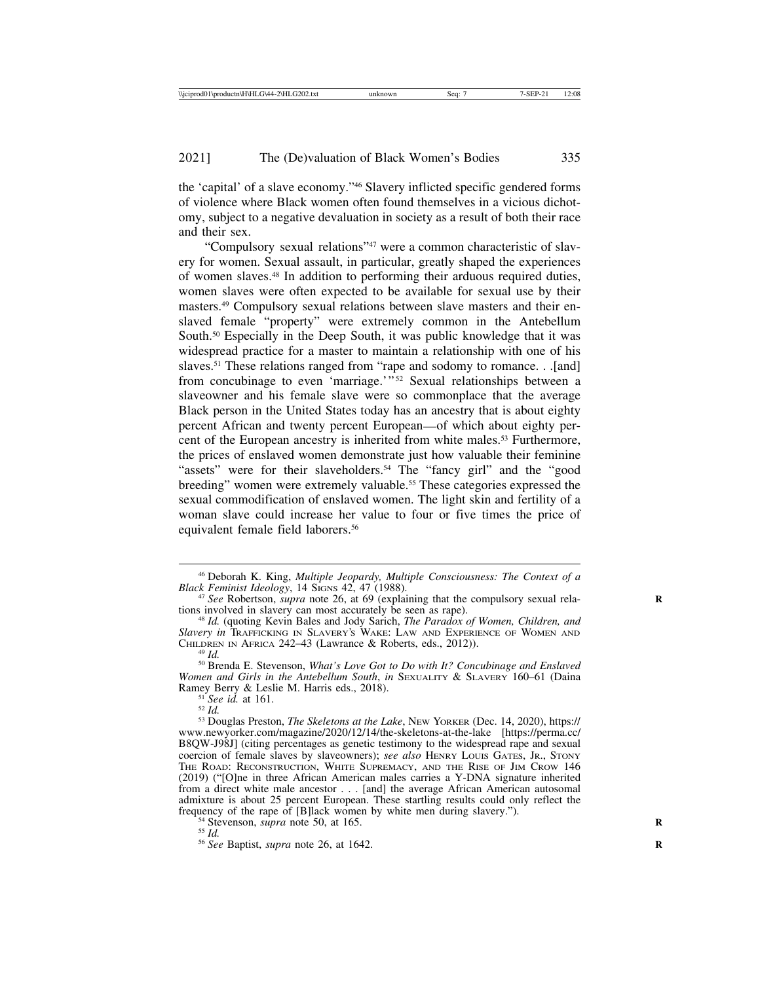the 'capital' of a slave economy."46 Slavery inflicted specific gendered forms of violence where Black women often found themselves in a vicious dichotomy, subject to a negative devaluation in society as a result of both their race and their sex.

"Compulsory sexual relations"47 were a common characteristic of slavery for women. Sexual assault, in particular, greatly shaped the experiences of women slaves.48 In addition to performing their arduous required duties, women slaves were often expected to be available for sexual use by their masters.49 Compulsory sexual relations between slave masters and their enslaved female "property" were extremely common in the Antebellum South.<sup>50</sup> Especially in the Deep South, it was public knowledge that it was widespread practice for a master to maintain a relationship with one of his slaves.<sup>51</sup> These relations ranged from "rape and sodomy to romance. . .[and] from concubinage to even 'marriage.'" 52 Sexual relationships between a slaveowner and his female slave were so commonplace that the average Black person in the United States today has an ancestry that is about eighty percent African and twenty percent European—of which about eighty percent of the European ancestry is inherited from white males.<sup>53</sup> Furthermore, the prices of enslaved women demonstrate just how valuable their feminine "assets" were for their slaveholders.<sup>54</sup> The "fancy girl" and the "good breeding" women were extremely valuable.<sup>55</sup> These categories expressed the sexual commodification of enslaved women. The light skin and fertility of a woman slave could increase her value to four or five times the price of equivalent female field laborers.<sup>56</sup>

*Women and Girls in the Antebellum South, in* SEXUALITY & SLAVERY 160–61 (Daina Ramey Berry & Leslie M. Harris eds., 2018).

<sup>46</sup> Deborah K. King, *Multiple Jeopardy, Multiple Consciousness: The Context of a*

<sup>&</sup>lt;sup>47</sup> *See* Robertson, *supra* note 26, at 69 (explaining that the compulsory sexual relations involved in slavery can most accurately be seen as rape). tions involved in slavery can most accurately be seen as rape). <sup>48</sup> *Id.* (quoting Kevin Bales and Jody Sarich, *The Paradox of Women, Children, and*

*Slavery in* TRAFFICKING IN SLAVERY'S WAKE: LAW AND EXPERIENCE OF WOMEN AND CHILDREN IN AFRICA 242–43 (Lawrance & Roberts, eds., 2012)). <sup>49</sup> *Id.* <sup>50</sup> Brenda E. Stevenson, *What's Love Got to Do with It? Concubinage and Enslaved*

<sup>&</sup>lt;sup>51</sup> See id. at 161.<br><sup>52</sup> *Id.* 52 *Id.* 52 *Id.* 52 *Id.* 52 *See id. The Skeletons at the Lake*, NEW YORKER (Dec. 14, 2020), https:// www.newyorker.com/magazine/2020/12/14/the-skeletons-at-the-lake [https://perma.cc/ B8QW-J98J] (citing percentages as genetic testimony to the widespread rape and sexual coercion of female slaves by slaveowners); *see also* HENRY LOUIS GATES, JR., STONY THE ROAD: RECONSTRUCTION, WHITE SUPREMACY, AND THE RISE OF JIM CROW 146 (2019) ("[O]ne in three African American males carries a Y-DNA signature inherited from a direct white male ancestor . . . [and] the average African American autosomal admixture is about 25 percent European. These startling results could only reflect the frequency of the rape of [B]lack women by white men during slavery."). <sup>54</sup> Stevenson, *supra* note 50, at 165. <sup>55</sup> *Id.* <sup>56</sup> *See* Baptist, *supra* note 26, at 1642.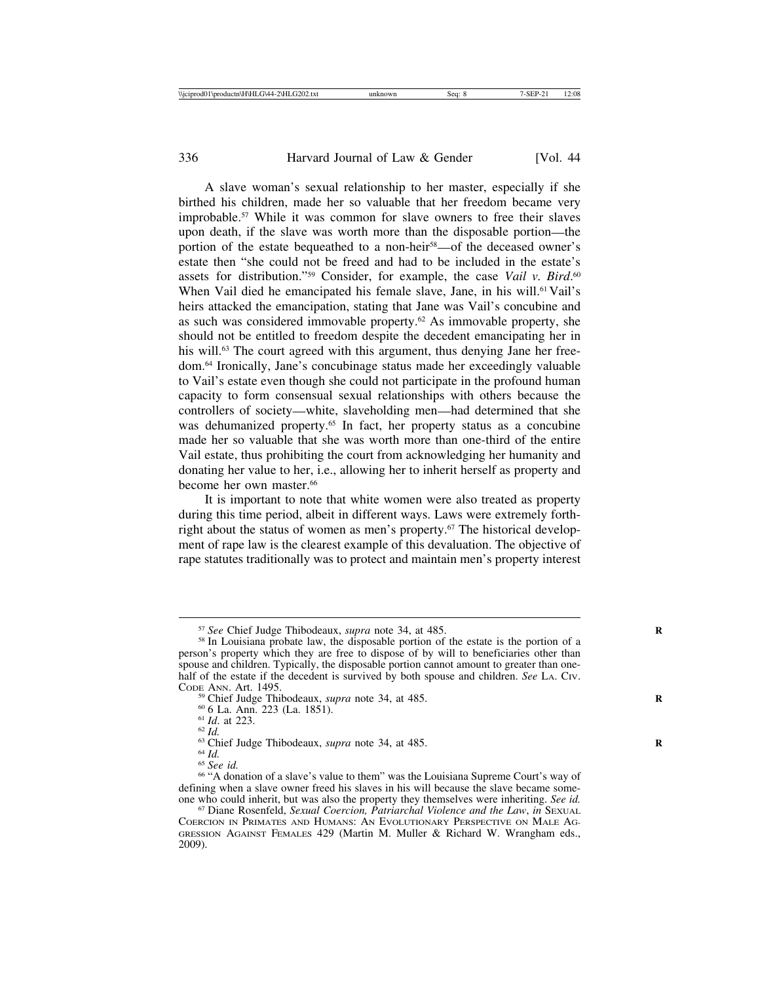A slave woman's sexual relationship to her master, especially if she birthed his children, made her so valuable that her freedom became very improbable.57 While it was common for slave owners to free their slaves upon death, if the slave was worth more than the disposable portion—the portion of the estate bequeathed to a non-heir<sup>58</sup>—of the deceased owner's estate then "she could not be freed and had to be included in the estate's assets for distribution."<sup>59</sup> Consider, for example, the case *Vail v. Bird*.<sup>60</sup> When Vail died he emancipated his female slave, Jane, in his will.<sup>61</sup> Vail's heirs attacked the emancipation, stating that Jane was Vail's concubine and as such was considered immovable property.62 As immovable property, she should not be entitled to freedom despite the decedent emancipating her in his will.<sup>63</sup> The court agreed with this argument, thus denying Jane her freedom.64 Ironically, Jane's concubinage status made her exceedingly valuable to Vail's estate even though she could not participate in the profound human capacity to form consensual sexual relationships with others because the controllers of society—white, slaveholding men—had determined that she was dehumanized property.<sup>65</sup> In fact, her property status as a concubine made her so valuable that she was worth more than one-third of the entire Vail estate, thus prohibiting the court from acknowledging her humanity and donating her value to her, i.e., allowing her to inherit herself as property and become her own master.<sup>66</sup>

It is important to note that white women were also treated as property during this time period, albeit in different ways. Laws were extremely forthright about the status of women as men's property.<sup> $67$ </sup> The historical development of rape law is the clearest example of this devaluation. The objective of rape statutes traditionally was to protect and maintain men's property interest

- 
- 

<sup>&</sup>lt;sup>57</sup> *See* Chief Judge Thibodeaux, *supra* note 34, at 485.<br><sup>58</sup> In Louisiana probate law, the disposable portion of the estate is the portion of a person's property which they are free to dispose of by will to beneficiaries other than spouse and children. Typically, the disposable portion cannot amount to greater than onehalf of the estate if the decedent is survived by both spouse and children. *See* LA. Civ. Cope ANN. Art. 1495.

<sup>&</sup>lt;sup>59</sup> Chief Judge Thibodeaux, *supra* note 34, at 485.<br>
<sup>60</sup> 6 La. Ann. 223 (La. 1851).<br>
<sup>61</sup> *Id.* at 223.<br>
<sup>63</sup> Chief Judge Thibodeaux, *supra* note 34, at 485.<br>
<sup>64</sup> *Id.*<br>
<sup>65</sup> See id.<br>
<sup>66</sup> Cee id.<br>
<sup>66</sup> Cee id.<br>
<sup>66</sup> defining when a slave owner freed his slaves in his will because the slave became some-<br>one who could inherit, but was also the property they themselves were inheriting. See id.

<sup>&</sup>lt;sup>67</sup> Diane Rosenfeld, Sexual Coercion, Patriarchal Violence and the Law, in SEXUAL COERCION IN PRIMATES AND HUMANS: AN EVOLUTIONARY PERSPECTIVE ON MALE AG-GRESSION AGAINST FEMALES 429 (Martin M. Muller & Richard W. Wrangham eds., 2009).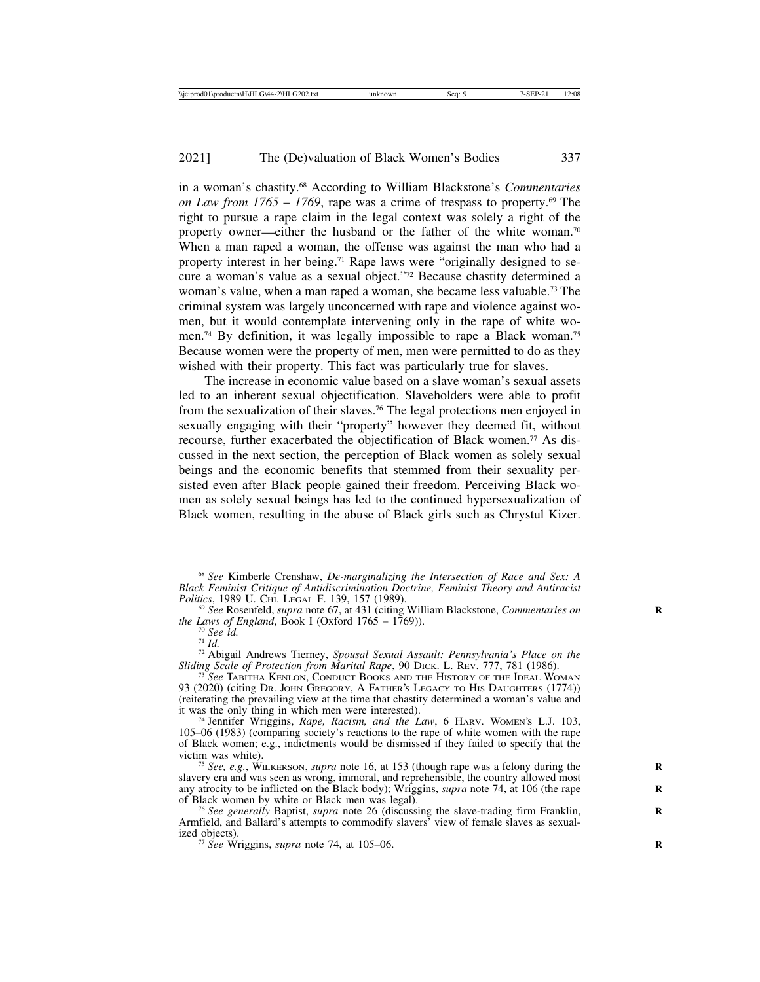in a woman's chastity.68 According to William Blackstone's *Commentaries on Law from*  $1765 - 1769$ *, rape was a crime of trespass to property.<sup>69</sup> The* right to pursue a rape claim in the legal context was solely a right of the property owner—either the husband or the father of the white woman.70 When a man raped a woman, the offense was against the man who had a property interest in her being.71 Rape laws were "originally designed to secure a woman's value as a sexual object."72 Because chastity determined a woman's value, when a man raped a woman, she became less valuable.73 The criminal system was largely unconcerned with rape and violence against women, but it would contemplate intervening only in the rape of white women.74 By definition, it was legally impossible to rape a Black woman.75 Because women were the property of men, men were permitted to do as they wished with their property. This fact was particularly true for slaves.

The increase in economic value based on a slave woman's sexual assets led to an inherent sexual objectification. Slaveholders were able to profit from the sexualization of their slaves.76 The legal protections men enjoyed in sexually engaging with their "property" however they deemed fit, without recourse, further exacerbated the objectification of Black women.77 As discussed in the next section, the perception of Black women as solely sexual beings and the economic benefits that stemmed from their sexuality persisted even after Black people gained their freedom. Perceiving Black women as solely sexual beings has led to the continued hypersexualization of Black women, resulting in the abuse of Black girls such as Chrystul Kizer.

<sup>68</sup> *See* Kimberle Crenshaw, *De-marginalizing the Intersection of Race and Sex: A Black Feminist Critique of Antidiscrimination Doctrine, Feminist Theory and Antiracist*

<sup>&</sup>lt;sup>69</sup> See Rosenfeld, *supra* note 67, at 431 (citing William Blackstone, *Commentaries on* the *Laws of England*, Book I (Oxford 1765 – 1769)).

<sup>&</sup>lt;sup>70</sup> See id.<br><sup>71</sup> *Id.* 72 Abigail Andrews Tierney, *Spousal Sexual Assault: Pennsylvania's Place on the Sliding Scale of Protection from Marital Rape*, 90 DICK. L. REV. 777, 781 (1986). <sup>73</sup> *See* TABITHA KENLON, CONDUCT BOOKS AND THE HISTORY OF THE IDEAL WOMAN

<sup>93 (2020) (</sup>citing DR. JOHN GREGORY, A FATHER'S LEGACY TO HIS DAUGHTERS (1774)) (reiterating the prevailing view at the time that chastity determined a woman's value and

<sup>&</sup>lt;sup>74</sup> Jennifer Wriggins, *Rape, Racism, and the Law*, 6 HARV. WOMEN's L.J. 103, 105–06 (1983) (comparing society's reactions to the rape of white women with the rape of Black women; e.g., indictments would be dismissed if they failed to specify that the

<sup>&</sup>lt;sup>75</sup> *See, e.g.*, WILKERSON, *supra* note 16, at 153 (though rape was a felony during the slavery era and was seen as wrong, immoral, and reprehensible, the country allowed most any atrocity to be inflicted on the Black body); Wriggins, *supra* note 74, at 106 (the rape of Black women by white or Black men was legal).

<sup>&</sup>lt;sup>76</sup> See generally Baptist, *supra* note 26 (discussing the slave-trading firm Franklin, Armfield, and Ballard's attempts to commodify slavers' view of female slaves as sexualized objects).<br><sup>77</sup> *See* Wriggins, *supra* note 74, at 105–06.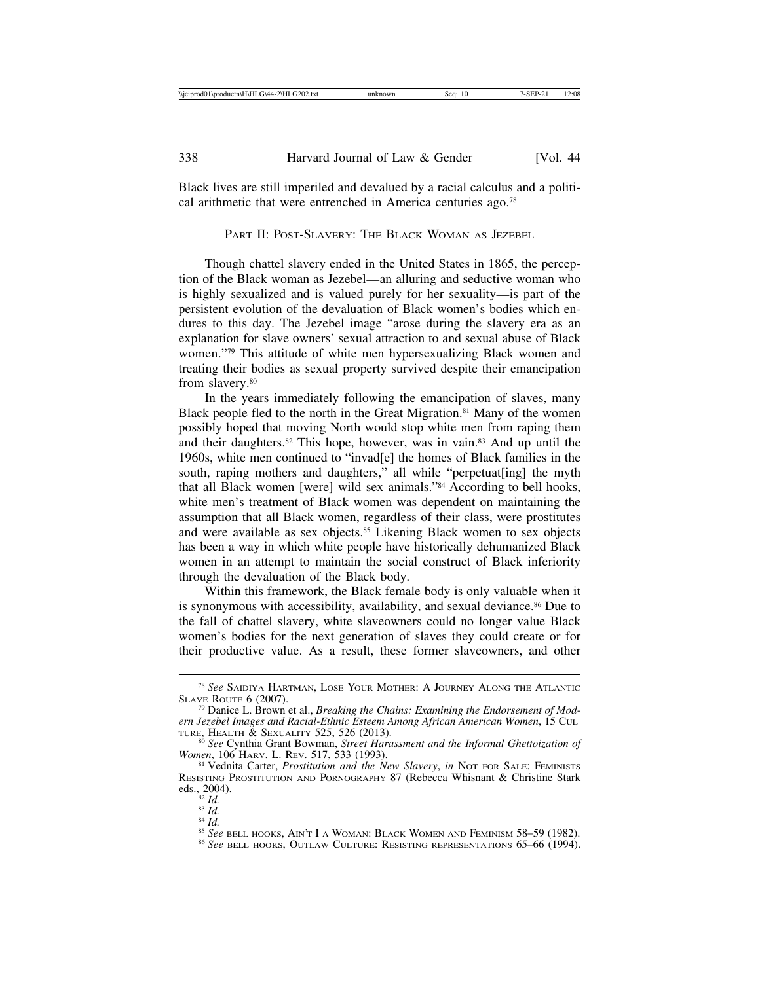Black lives are still imperiled and devalued by a racial calculus and a political arithmetic that were entrenched in America centuries ago.78

PART II: POST-SLAVERY: THE BLACK WOMAN AS JEZEBEL

Though chattel slavery ended in the United States in 1865, the perception of the Black woman as Jezebel—an alluring and seductive woman who is highly sexualized and is valued purely for her sexuality—is part of the persistent evolution of the devaluation of Black women's bodies which endures to this day. The Jezebel image "arose during the slavery era as an explanation for slave owners' sexual attraction to and sexual abuse of Black women."79 This attitude of white men hypersexualizing Black women and treating their bodies as sexual property survived despite their emancipation from slavery.<sup>80</sup>

In the years immediately following the emancipation of slaves, many Black people fled to the north in the Great Migration.<sup>81</sup> Many of the women possibly hoped that moving North would stop white men from raping them and their daughters.<sup>82</sup> This hope, however, was in vain.<sup>83</sup> And up until the 1960s, white men continued to "invad[e] the homes of Black families in the south, raping mothers and daughters," all while "perpetuat[ing] the myth that all Black women [were] wild sex animals."84 According to bell hooks, white men's treatment of Black women was dependent on maintaining the assumption that all Black women, regardless of their class, were prostitutes and were available as sex objects.<sup>85</sup> Likening Black women to sex objects has been a way in which white people have historically dehumanized Black women in an attempt to maintain the social construct of Black inferiority through the devaluation of the Black body.

Within this framework, the Black female body is only valuable when it is synonymous with accessibility, availability, and sexual deviance.<sup>86</sup> Due to the fall of chattel slavery, white slaveowners could no longer value Black women's bodies for the next generation of slaves they could create or for their productive value. As a result, these former slaveowners, and other

<sup>78</sup> *See* SAIDIYA HARTMAN, LOSE YOUR MOTHER: A JOURNEY ALONG THE ATLANTIC

<sup>&</sup>lt;sup>79</sup> Danice L. Brown et al., *Breaking the Chains: Examining the Endorsement of Modern Jezebel Images and Racial-Ethnic Esteem Among African American Women*, 15 CUL-

<sup>&</sup>lt;sup>80</sup> See Cynthia Grant Bowman, *Street Harassment and the Informal Ghettoization of Women*, 106 Harv. L. Rev. 517, 533 (1993).

<sup>&</sup>lt;sup>81</sup> Vednita Carter, *Prostitution and the New Slavery*, *in* NOT FOR SALE: FEMINISTS RESISTING PROSTITUTION AND PORNOGRAPHY 87 (Rebecca Whisnant & Christine Stark eds., 2004).

<sup>&</sup>lt;sup>82</sup> *Id.*<br><sup>83</sup> *Id.*<br><sup>84</sup> *Id.* 85 *See* bell hooks, Ain't I a Woman: Black Women and Feminism 58–59 (1982).<br><sup>86</sup> *See* bell hooks, Outlaw Culture: Resisting representations 65–66 (1994).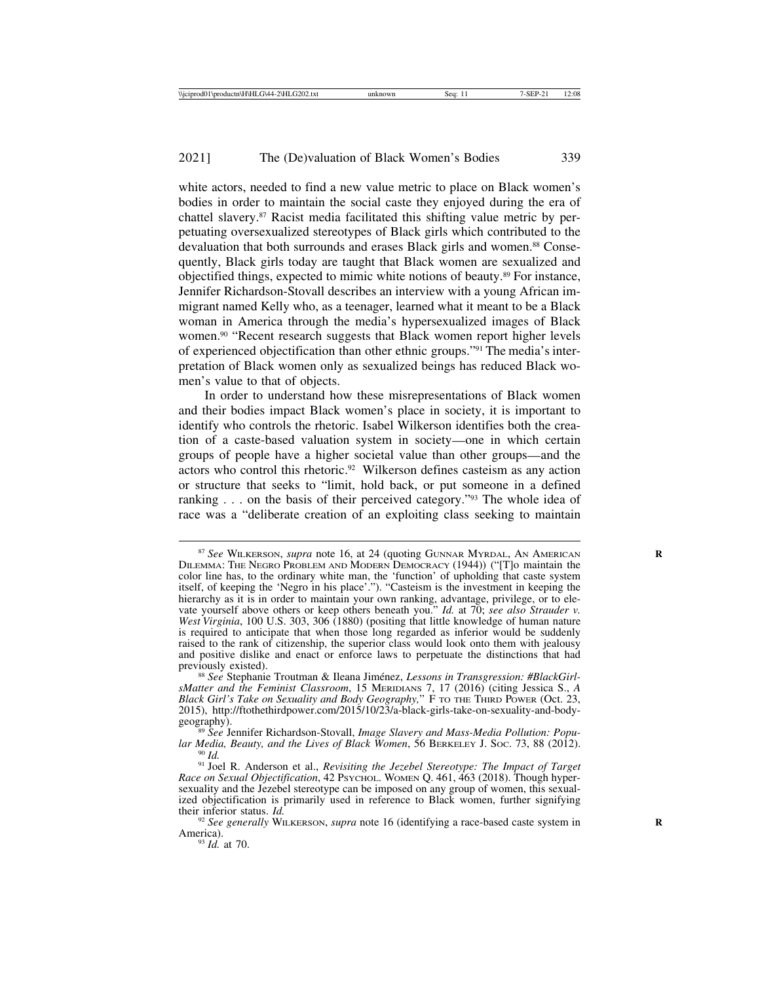white actors, needed to find a new value metric to place on Black women's bodies in order to maintain the social caste they enjoyed during the era of chattel slavery.87 Racist media facilitated this shifting value metric by perpetuating oversexualized stereotypes of Black girls which contributed to the devaluation that both surrounds and erases Black girls and women.<sup>88</sup> Consequently, Black girls today are taught that Black women are sexualized and objectified things, expected to mimic white notions of beauty.89 For instance, Jennifer Richardson-Stovall describes an interview with a young African immigrant named Kelly who, as a teenager, learned what it meant to be a Black woman in America through the media's hypersexualized images of Black women.90 "Recent research suggests that Black women report higher levels of experienced objectification than other ethnic groups."91 The media's interpretation of Black women only as sexualized beings has reduced Black women's value to that of objects.

In order to understand how these misrepresentations of Black women and their bodies impact Black women's place in society, it is important to identify who controls the rhetoric. Isabel Wilkerson identifies both the creation of a caste-based valuation system in society—one in which certain groups of people have a higher societal value than other groups—and the actors who control this rhetoric.<sup>92</sup> Wilkerson defines casteism as any action or structure that seeks to "limit, hold back, or put someone in a defined ranking . . . on the basis of their perceived category."<sup>93</sup> The whole idea of race was a "deliberate creation of an exploiting class seeking to maintain

<sup>87</sup> *See* WILKERSON, *supra* note 16, at 24 (quoting GUNNAR MYRDAL, AN AMERICAN **R** DILEMMA: THE NEGRO PROBLEM AND MODERN DEMOCRACY (1944)) ("[T]o maintain the color line has, to the ordinary white man, the 'function' of upholding that caste system itself, of keeping the 'Negro in his place'."). "Casteism is the investment in keeping the hierarchy as it is in order to maintain your own ranking, advantage, privilege, or to elevate yourself above others or keep others beneath you." *Id.* at 70; *see also Strauder v. West Virginia*, 100 U.S. 303, 306 (1880) (positing that little knowledge of human nature is required to anticipate that when those long regarded as inferior would be suddenly raised to the rank of citizenship, the superior class would look onto them with jealousy and positive dislike and enact or enforce laws to perpetuate the distinctions that had previously existed).<br><sup>88</sup> *See* Stephanie Troutman & Ileana Jiménez, *Lessons in Transgression: #BlackGirl-*

*sMatter and the Feminist Classroom*, 15 MERIDIANS 7, 17 (2016) (citing Jessica S., *A Black Girl's Take on Sexuality and Body Geography,*" F TO THE THIRD POWER (Oct. 23, 2015), http://ftothethirdpower.com/2015/10/23/a-black-girls-take-on-sexuality-and-body-geography).

<sup>&</sup>lt;sup>89</sup> *See Jennifer Richardson-Stovall, Image Slavery and Mass-Media Pollution: Popular Media, Beauty, and the Lives of Black Women, 56 BERKELEY J. Soc. 73, 88 (2012).* 

<sup>&</sup>lt;sup>90</sup> Id.<br><sup>91</sup> Joel R. Anderson et al., *Revisiting the Jezebel Stereotype: The Impact of Target Race on Sexual Objectification*, 42 PSYCHOL. WOMEN Q. 461, 463 (2018). Though hypersexuality and the Jezebel stereotype can be imposed on any group of women, this sexualized objectification is primarily used in reference to Black women, further signifying their inferior status. *Id.* 

<sup>&</sup>lt;sup>92</sup> *See generally* WILKERSON, *supra* note 16 (identifying a race-based caste system in America).<br><sup>93</sup> *Id.* at 70.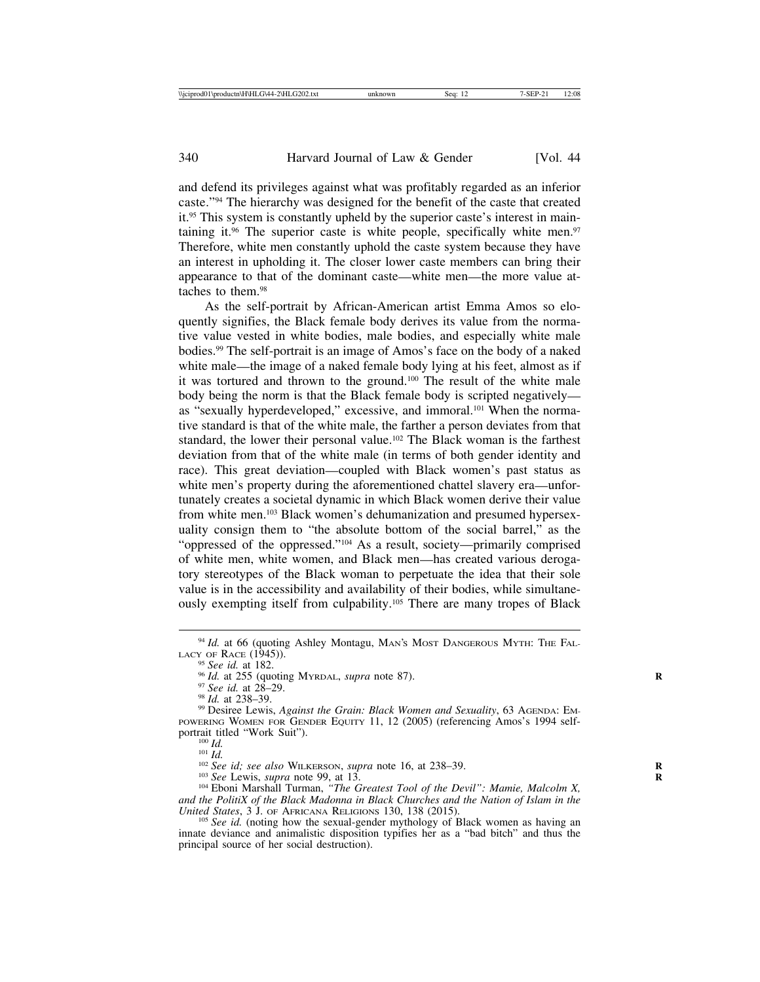and defend its privileges against what was profitably regarded as an inferior caste."94 The hierarchy was designed for the benefit of the caste that created it.95 This system is constantly upheld by the superior caste's interest in maintaining it. $96$  The superior caste is white people, specifically white men. $97$ Therefore, white men constantly uphold the caste system because they have an interest in upholding it. The closer lower caste members can bring their appearance to that of the dominant caste—white men—the more value attaches to them.98

As the self-portrait by African-American artist Emma Amos so eloquently signifies, the Black female body derives its value from the normative value vested in white bodies, male bodies, and especially white male bodies.99 The self-portrait is an image of Amos's face on the body of a naked white male—the image of a naked female body lying at his feet, almost as if it was tortured and thrown to the ground.100 The result of the white male body being the norm is that the Black female body is scripted negatively as "sexually hyperdeveloped," excessive, and immoral.101 When the normative standard is that of the white male, the farther a person deviates from that standard, the lower their personal value.<sup>102</sup> The Black woman is the farthest deviation from that of the white male (in terms of both gender identity and race). This great deviation—coupled with Black women's past status as white men's property during the aforementioned chattel slavery era—unfortunately creates a societal dynamic in which Black women derive their value from white men.103 Black women's dehumanization and presumed hypersexuality consign them to "the absolute bottom of the social barrel," as the "oppressed of the oppressed."104 As a result, society—primarily comprised of white men, white women, and Black men—has created various derogatory stereotypes of the Black woman to perpetuate the idea that their sole value is in the accessibility and availability of their bodies, while simultaneously exempting itself from culpability.105 There are many tropes of Black

<sup>&</sup>lt;sup>94</sup> *Id.* at 66 (quoting Ashley Montagu, MAN's MOST DANGEROUS MYTH: THE FALLACY OF RACE (1945)).

<sup>&</sup>lt;sup>95</sup> See id. at 182.<br><sup>96</sup> Id. at 255 (quoting MYRDAL, *supra* note 87).<br><sup>97</sup> See id. at 28–29.<br><sup>98</sup> Id. at 238–39.<br><sup>99</sup> Desiree Lewis, *Against the Grain: Black Women and Sexuality*, 63 AGENDA: EM-POWERING WOMEN FOR GENDER EQUITY 11, 12 (2005) (referencing Amos's 1994 self-<br>portrait titled "Work Suit").

<sup>&</sup>lt;sup>100</sup> Id.<br><sup>101</sup> Id.<br><sup>102</sup> See id; see also WILKERSON, supra note 16, at 238–39.<br><sup>103</sup> See Lewis, supra note 99, at 13.<br><sup>104</sup> Eboni Marshall Turman, *"The Greatest Tool of the Devil": Mamie, Malcolm X*, *and the PolitiX of the Black Madonna in Black Churches and the Nation of Islam in the*

<sup>&</sup>lt;sup>105</sup> See id. (noting how the sexual-gender mythology of Black women as having an innate deviance and animalistic disposition typifies her as a "bad bitch" and thus the principal source of her social destruction).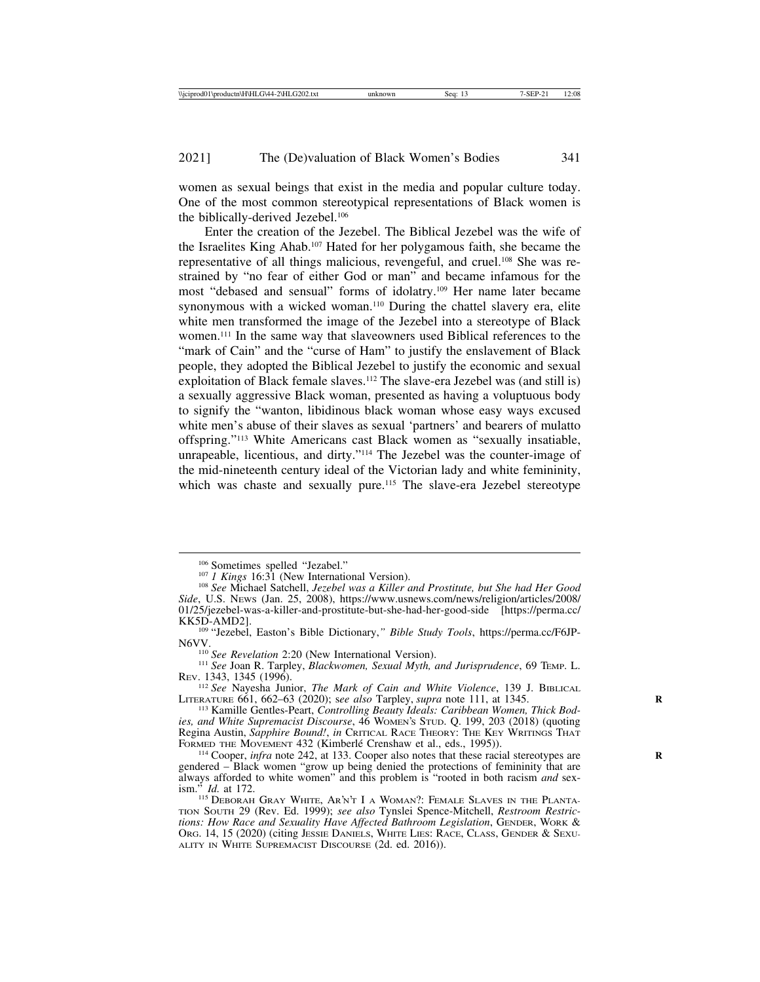women as sexual beings that exist in the media and popular culture today. One of the most common stereotypical representations of Black women is the biblically-derived Jezebel.106

Enter the creation of the Jezebel. The Biblical Jezebel was the wife of the Israelites King Ahab.107 Hated for her polygamous faith, she became the representative of all things malicious, revengeful, and cruel.108 She was restrained by "no fear of either God or man" and became infamous for the most "debased and sensual" forms of idolatry.109 Her name later became synonymous with a wicked woman.<sup>110</sup> During the chattel slavery era, elite white men transformed the image of the Jezebel into a stereotype of Black women.111 In the same way that slaveowners used Biblical references to the "mark of Cain" and the "curse of Ham" to justify the enslavement of Black people, they adopted the Biblical Jezebel to justify the economic and sexual exploitation of Black female slaves.112 The slave-era Jezebel was (and still is) a sexually aggressive Black woman, presented as having a voluptuous body to signify the "wanton, libidinous black woman whose easy ways excused white men's abuse of their slaves as sexual 'partners' and bearers of mulatto offspring."113 White Americans cast Black women as "sexually insatiable, unrapeable, licentious, and dirty."114 The Jezebel was the counter-image of the mid-nineteenth century ideal of the Victorian lady and white femininity, which was chaste and sexually pure.<sup>115</sup> The slave-era Jezebel stereotype

<sup>&</sup>lt;sup>106</sup> Sometimes spelled "Jezabel."<br><sup>107</sup> *1 Kings* 16:31 (New International Version).<br><sup>108</sup> *See* Michael Satchell, *Jezebel was a Killer and Prostitute, but She had Her Good Side*, U.S. NEWS (Jan. 25, 2008), https://www.usnews.com/news/religion/articles/2008/ 01/25/jezebel-was-a-killer-and-prostitute-but-she-had-her-good-side [https://perma.cc/<br>KK5D-AMD2].

<sup>109 &</sup>quot;Jezebel, Easton's Bible Dictionary," Bible Study Tools, https://perma.cc/F6JP-<br>N6VV.

<sup>&</sup>lt;sup>110</sup> *See Revelation* 2:20 (New International Version).<br><sup>111</sup> *See Joan R. Tarpley, Blackwomen, Sexual Myth, and Jurisprudence, 69 TEMP. L.* REV. 1343, 1345 (1996).

<sup>112</sup> *See* Nayesha Junior, *The Mark of Cain and White Violence*, 139 J. BIBLICAL LITERATURE 661, 662–63 (2020); see also Tarpley, *supra* note 111, at 1345.<br><sup>113</sup> Kamille Gentles-Peart, *Controlling Beauty Ideals: Caribbean Women, Thick Bod-*

*ies, and White Supremacist Discourse*, 46 WOMEN'S STUD. Q. 199, 203 (2018) (quoting Regina Austin, *Sapphire Bound!*, *in* CRITICAL RACE THEORY: THE KEY WRITINGS THAT FORMED THE MOVEMENT 432 (Kimberlé Crenshaw et al., eds., 1995)).

 $\frac{114}{114}$  Cooper, *infra* note 242, at 133. Cooper also notes that these racial stereotypes are gendered – Black women "grow up being denied the protections of femininity that are always afforded to white women" and this problem is "rooted in both racism *and* sexism." *Id.* at 172.<br><sup>115</sup> Deborah Gray White, Ar'n't I a Woman?: Female Slaves in the Planta-

TION SOUTH 29 (Rev. Ed. 1999); *see also* Tynslei Spence-Mitchell, *Restroom Restrictions: How Race and Sexuality Have Affected Bathroom Legislation*, GENDER, WORK & ORG. 14, 15 (2020) (citing JESSIE DANIELS, WHITE LIES: RACE, CLASS, GENDER & SEXU-ALITY IN WHITE SUPREMACIST DISCOURSE (2d. ed. 2016)).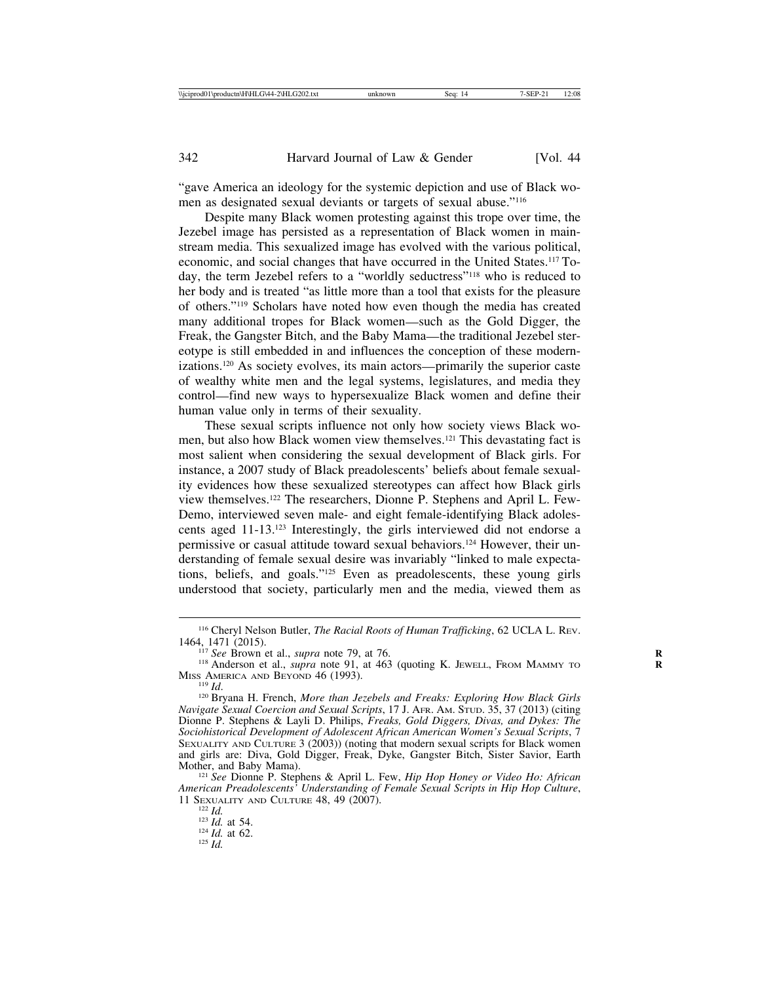"gave America an ideology for the systemic depiction and use of Black women as designated sexual deviants or targets of sexual abuse."116

Despite many Black women protesting against this trope over time, the Jezebel image has persisted as a representation of Black women in mainstream media. This sexualized image has evolved with the various political, economic, and social changes that have occurred in the United States.117 Today, the term Jezebel refers to a "worldly seductress"118 who is reduced to her body and is treated "as little more than a tool that exists for the pleasure of others."119 Scholars have noted how even though the media has created many additional tropes for Black women—such as the Gold Digger, the Freak, the Gangster Bitch, and the Baby Mama—the traditional Jezebel stereotype is still embedded in and influences the conception of these modernizations.120 As society evolves, its main actors—primarily the superior caste of wealthy white men and the legal systems, legislatures, and media they control—find new ways to hypersexualize Black women and define their human value only in terms of their sexuality.

These sexual scripts influence not only how society views Black women, but also how Black women view themselves.121 This devastating fact is most salient when considering the sexual development of Black girls. For instance, a 2007 study of Black preadolescents' beliefs about female sexuality evidences how these sexualized stereotypes can affect how Black girls view themselves.122 The researchers, Dionne P. Stephens and April L. Few-Demo, interviewed seven male- and eight female-identifying Black adolescents aged 11-13.123 Interestingly, the girls interviewed did not endorse a permissive or casual attitude toward sexual behaviors.124 However, their understanding of female sexual desire was invariably "linked to male expectations, beliefs, and goals."125 Even as preadolescents, these young girls understood that society, particularly men and the media, viewed them as

<sup>116</sup> Cheryl Nelson Butler, *The Racial Roots of Human Trafficking*, 62 UCLA L. REV.

<sup>&</sup>lt;sup>117</sup> See Brown et al., *supra* note 79, at 76.<br><sup>118</sup> Anderson et al., *supra* note 91, at 463 (quoting K. Jewell, From MAMMY TO Miss AMERICA AND BEYOND 46 (1993).

<sup>&</sup>lt;sup>119</sup> *Id.* 120 Bryana H. French, *More than Jezebels and Freaks: Exploring How Black Girls Navigate Sexual Coercion and Sexual Scripts*, 17 J. AFR. AM. STUD. 35, 37 (2013) (citing Dionne P. Stephens & Layli D. Philips, *Freaks, Gold Diggers, Divas, and Dykes: The Sociohistorical Development of Adolescent African American Women's Sexual Scripts*, 7 SEXUALITY AND CULTURE 3 (2003)) (noting that modern sexual scripts for Black women and girls are: Diva, Gold Digger, Freak, Dyke, Gangster Bitch, Sister Savior, Earth

<sup>&</sup>lt;sup>121</sup> See Dionne P. Stephens & April L. Few, *Hip Hop Honey or Video Ho: African American Preadolescents' Understanding of Female Sexual Scripts in Hip Hop Culture*, 11 SEXUALITY AND CULTURE 48, 49 (2007).<br>
<sup>122</sup> *Id.* at 54.<br>
<sup>124</sup> *Id.* at 62.<br>
<sup>125</sup> *Id.*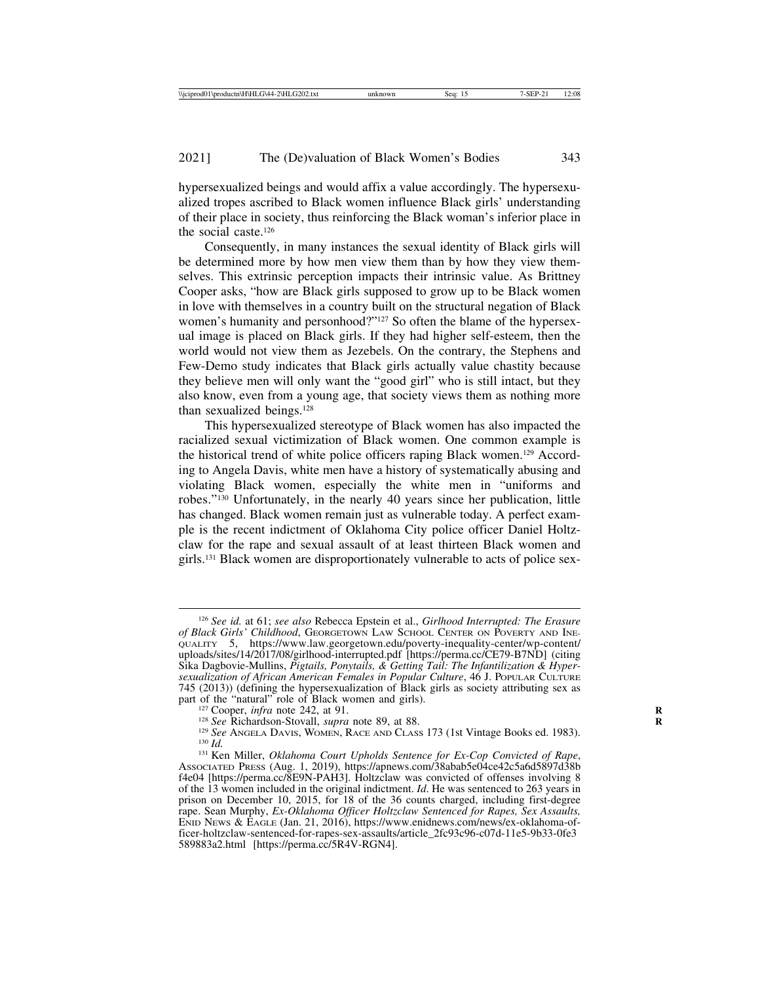hypersexualized beings and would affix a value accordingly. The hypersexualized tropes ascribed to Black women influence Black girls' understanding of their place in society, thus reinforcing the Black woman's inferior place in the social caste.126

Consequently, in many instances the sexual identity of Black girls will be determined more by how men view them than by how they view themselves. This extrinsic perception impacts their intrinsic value. As Brittney Cooper asks, "how are Black girls supposed to grow up to be Black women in love with themselves in a country built on the structural negation of Black women's humanity and personhood?"<sup>127</sup> So often the blame of the hypersexual image is placed on Black girls. If they had higher self-esteem, then the world would not view them as Jezebels. On the contrary, the Stephens and Few-Demo study indicates that Black girls actually value chastity because they believe men will only want the "good girl" who is still intact, but they also know, even from a young age, that society views them as nothing more than sexualized beings.128

This hypersexualized stereotype of Black women has also impacted the racialized sexual victimization of Black women. One common example is the historical trend of white police officers raping Black women.129 According to Angela Davis, white men have a history of systematically abusing and violating Black women, especially the white men in "uniforms and robes."130 Unfortunately, in the nearly 40 years since her publication, little has changed. Black women remain just as vulnerable today. A perfect example is the recent indictment of Oklahoma City police officer Daniel Holtzclaw for the rape and sexual assault of at least thirteen Black women and girls.131 Black women are disproportionately vulnerable to acts of police sex-

<sup>126</sup> *See id.* at 61; *see also* Rebecca Epstein et al., *Girlhood Interrupted: The Erasure of Black Girls' Childhood*, GEORGETOWN LAW SCHOOL CENTER ON POVERTY AND INE-QUALITY 5, https://www.law.georgetown.edu/poverty-inequality-center/wp-content/ uploads/sites/14/2017/08/girlhood-interrupted.pdf [https://perma.cc/CE79-B7ND] (citing Sika Dagbovie-Mullins, *Pigtails, Ponytails, & Getting Tail: The Infantilization & Hypersexualization of African American Females in Popular Culture*, 46 J. POPULAR CULTURE 745 (2013)) (defining the hypersexualization of Black girls as society attributing sex as

<sup>&</sup>lt;sup>127</sup> Cooper, *infra* note 242, at 91.<br><sup>128</sup> See Richardson-Stovall, *supra* note 89, at 88.<br><sup>129</sup> See ANGELA DAVIS, WOMEN, RACE AND CLASS 173 (1st Vintage Books ed. 1983).<br><sup>130</sup> Id.<br><sup>131</sup> Ken Miller, *Oklahoma Court Upho* 

ASSOCIATED PRESS (Aug. 1, 2019), https://apnews.com/38abab5e04ce42c5a6d5897d38b f4e04 [https://perma.cc/8E9N-PAH3]. Holtzclaw was convicted of offenses involving 8 of the 13 women included in the original indictment. *Id*. He was sentenced to 263 years in prison on December 10, 2015, for 18 of the 36 counts charged, including first-degree rape. Sean Murphy, *Ex-Oklahoma Officer Holtzclaw Sentenced for Rapes, Sex Assaults,* ENID NEWS & EAGLE (Jan. 21, 2016), https://www.enidnews.com/news/ex-oklahoma-officer-holtzclaw-sentenced-for-rapes-sex-assaults/article\_2fc93c96-c07d-11e5-9b33-0fe3 589883a2.html [https://perma.cc/5R4V-RGN4].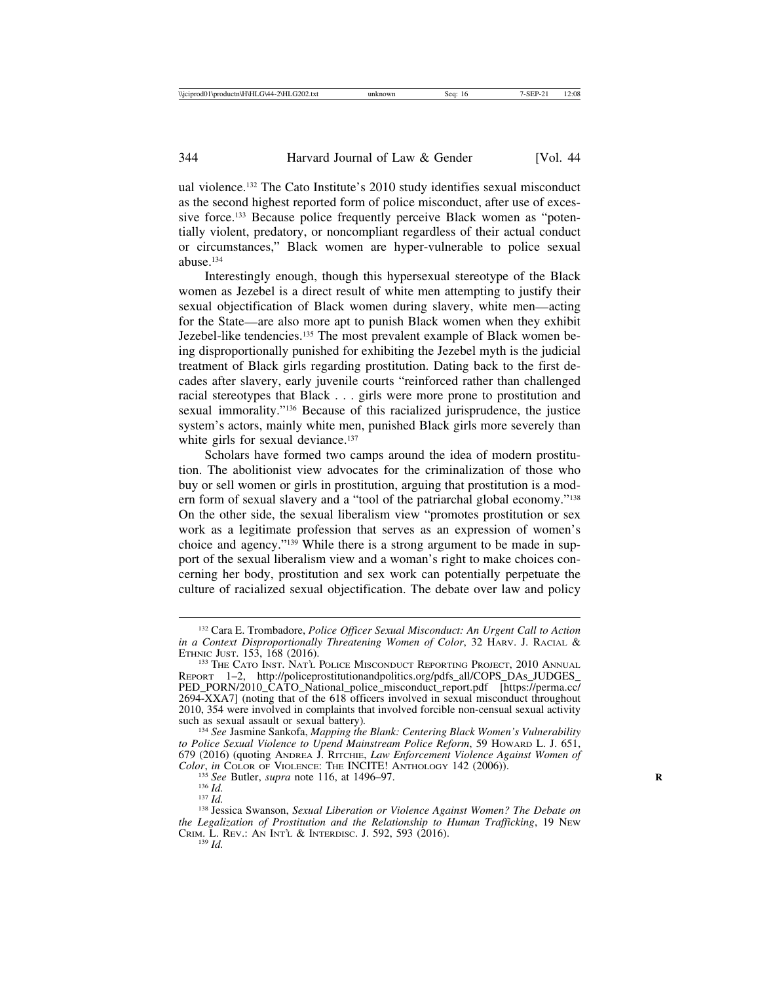ual violence.132 The Cato Institute's 2010 study identifies sexual misconduct as the second highest reported form of police misconduct, after use of excessive force.<sup>133</sup> Because police frequently perceive Black women as "potentially violent, predatory, or noncompliant regardless of their actual conduct or circumstances," Black women are hyper-vulnerable to police sexual abuse.134

Interestingly enough, though this hypersexual stereotype of the Black women as Jezebel is a direct result of white men attempting to justify their sexual objectification of Black women during slavery, white men—acting for the State—are also more apt to punish Black women when they exhibit Jezebel-like tendencies.135 The most prevalent example of Black women being disproportionally punished for exhibiting the Jezebel myth is the judicial treatment of Black girls regarding prostitution. Dating back to the first decades after slavery, early juvenile courts "reinforced rather than challenged racial stereotypes that Black . . . girls were more prone to prostitution and sexual immorality."136 Because of this racialized jurisprudence, the justice system's actors, mainly white men, punished Black girls more severely than white girls for sexual deviance.<sup>137</sup>

Scholars have formed two camps around the idea of modern prostitution. The abolitionist view advocates for the criminalization of those who buy or sell women or girls in prostitution, arguing that prostitution is a modern form of sexual slavery and a "tool of the patriarchal global economy."138 On the other side, the sexual liberalism view "promotes prostitution or sex work as a legitimate profession that serves as an expression of women's choice and agency."139 While there is a strong argument to be made in support of the sexual liberalism view and a woman's right to make choices concerning her body, prostitution and sex work can potentially perpetuate the culture of racialized sexual objectification. The debate over law and policy

<sup>132</sup> Cara E. Trombadore, *Police Officer Sexual Misconduct: An Urgent Call to Action in a Context Disproportionally Threatening Women of Color*, 32 HARV. J. RACIAL & ETHNIC JUST. 153, 168 (2016).

<sup>&</sup>lt;sup>133</sup> The Cato Inst. Nat'l Police Misconduct Reporting Project, 2010 Annual REPORT 1–2, http://policeprostitutionandpolitics.org/pdfs\_all/COPS\_DAs\_JUDGES\_ PED\_PORN/2010\_CATO\_National\_police\_misconduct\_report.pdf [https://perma.cc/ 2694-XXA7] (noting that of the 618 officers involved in sexual misconduct throughout 2010, 354 were involved in complaints that involved forcible non-censual sexual activity

<sup>&</sup>lt;sup>134</sup> See Jasmine Sankofa, *Mapping the Blank: Centering Black Women's Vulnerability to Police Sexual Violence to Upend Mainstream Police Reform*, 59 HOWARD L. J. 651, 679 (2016) (quoting ANDREA J. RITCHIE, *Law Enforcement Violence Against Women of*

<sup>&</sup>lt;sup>135</sup> See Butler, *supra* note 116, at 1496–97.<br><sup>136</sup> Id.<br><sup>137</sup> Id. <sup>137</sup> Id. Supramson, *Sexual Liberation or Violence Against Women? The Debate on the Legalization of Prostitution and the Relationship to Human Trafficking*, 19 NEW CRIM. L. REV.: AN INT'L & INTERDISC. J. 592, 593 (2016). <sup>139</sup> *Id.*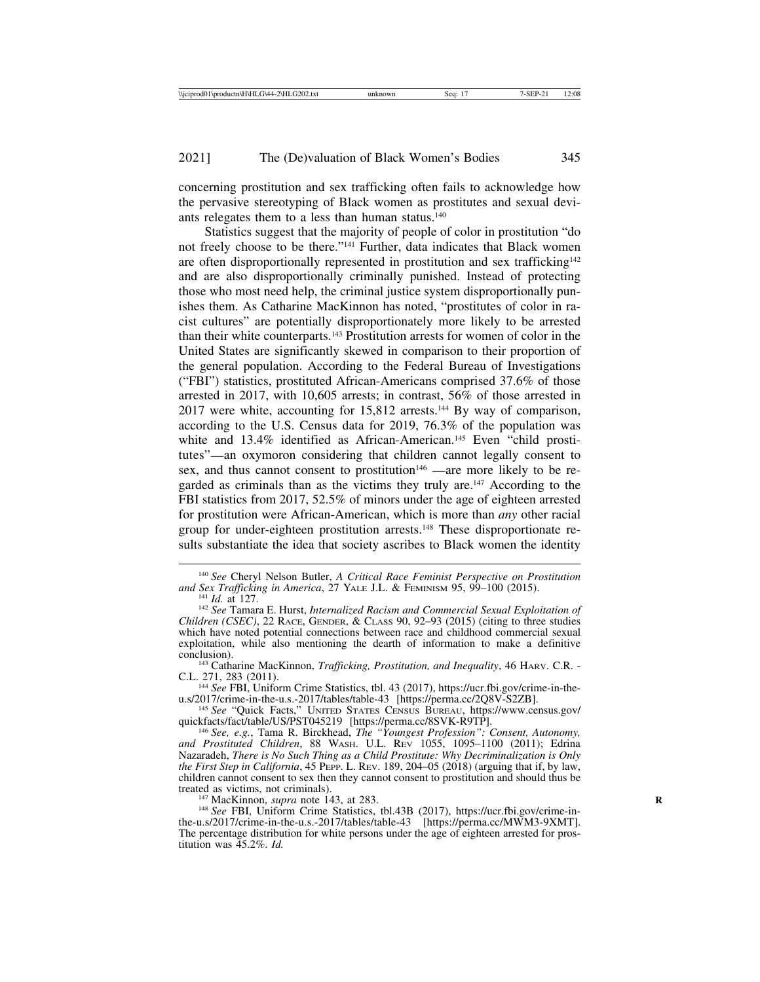concerning prostitution and sex trafficking often fails to acknowledge how the pervasive stereotyping of Black women as prostitutes and sexual deviants relegates them to a less than human status.<sup>140</sup>

Statistics suggest that the majority of people of color in prostitution "do not freely choose to be there."141 Further, data indicates that Black women are often disproportionally represented in prostitution and sex trafficking<sup>142</sup> and are also disproportionally criminally punished. Instead of protecting those who most need help, the criminal justice system disproportionally punishes them. As Catharine MacKinnon has noted, "prostitutes of color in racist cultures" are potentially disproportionately more likely to be arrested than their white counterparts.143 Prostitution arrests for women of color in the United States are significantly skewed in comparison to their proportion of the general population. According to the Federal Bureau of Investigations ("FBI") statistics, prostituted African-Americans comprised 37.6% of those arrested in 2017, with 10,605 arrests; in contrast, 56% of those arrested in 2017 were white, accounting for 15,812 arrests.144 By way of comparison, according to the U.S. Census data for 2019, 76.3% of the population was white and 13.4% identified as African-American.<sup>145</sup> Even "child prostitutes"—an oxymoron considering that children cannot legally consent to sex, and thus cannot consent to prostitution<sup>146</sup> —are more likely to be regarded as criminals than as the victims they truly are.<sup>147</sup> According to the FBI statistics from 2017, 52.5% of minors under the age of eighteen arrested for prostitution were African-American, which is more than *any* other racial group for under-eighteen prostitution arrests.148 These disproportionate results substantiate the idea that society ascribes to Black women the identity

<sup>&</sup>lt;sup>140</sup> *See* Cheryl Nelson Butler, *A Critical Race Feminist Perspective on Prostitution and Sex Trafficking in America, 27 YALE J.L. & FEMINISM 95, 99–100 (2015).* 

*and Sex Trafficking in America*, 27 YALE J.L. & FEMINISM 95, 99–100 (2015). <sup>141</sup> *Id.* at 127. <sup>142</sup> *See* Tamara E. Hurst, *Internalized Racism and Commercial Sexual Exploitation of Children (CSEC)*, 22 RACE, GENDER, & CLASS 90, 92–93 (2015) (citing to three studies which have noted potential connections between race and childhood commercial sexual exploitation, while also mentioning the dearth of information to make a definitive

conclusion).<br><sup>143</sup> Catharine MacKinnon, *Trafficking, Prostitution, and Inequality*, 46 HARV. C.R. -<br>C.L. 271, 283 (2011).

<sup>&</sup>lt;sup>144</sup> See FBI, Uniform Crime Statistics, tbl. 43 (2017), https://ucr.fbi.gov/crime-in-the-u.s/2017/crime-in-the-u.s.-2017/tables/table-43 [https://perma.cc/2Q8V-S2ZB].

u.s/2017/crime-in-the-u.s.-2017/tables/table-13 [https://perma.cc/2SVK-R9TP].<br><sup>145</sup> See "Quick Facts," UNITED STATES CENSUS BUREAU, https://www.census.gov/<br>quickfacts/fact/table/US/PST045219 [https://perma.cc/8SVK-R9TP].

quickfacts/fact/table/US/PST045219 [https://perma.cc/8SVK-R9TP]. <sup>146</sup> *See, e.g.*, Tama R. Birckhead, *The "Youngest Profession": Consent, Autonomy, and Prostituted Children*, 88 WASH. U.L. REV 1055, 1095–1100 (2011); Edrina Nazaradeh, *There is No Such Thing as a Child Prostitute: Why Decriminalization is Only the First Step in California*, 45 PEPP. L. REV. 189, 204–05 (2018) (arguing that if, by law, children cannot consent to sex then they cannot consent to prostitution and should thus be

<sup>&</sup>lt;sup>147</sup> MacKinnon, *supra* note 143, at 283.<br><sup>148</sup> *See* FBI, Uniform Crime Statistics, tbl.43B (2017), https://ucr.fbi.gov/crime-inthe-u.s/2017/crime-in-the-u.s.-2017/tables/table-43 [https://perma.cc/MWM3-9XMT]. The percentage distribution for white persons under the age of eighteen arrested for prostitution was 45.2%. *Id.*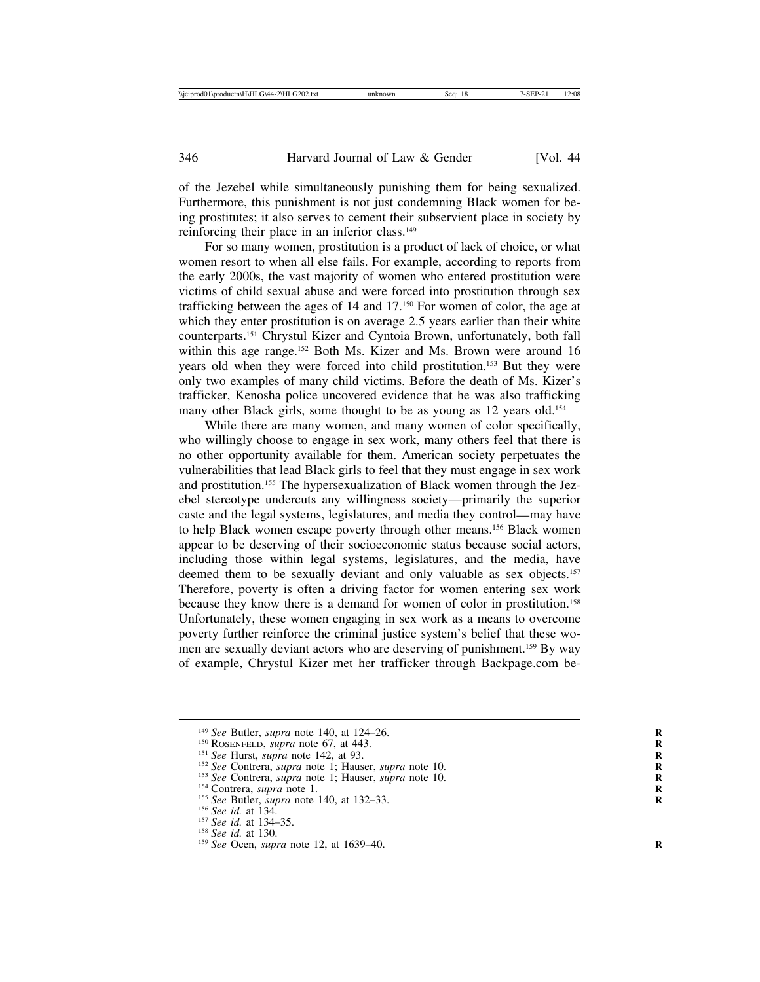of the Jezebel while simultaneously punishing them for being sexualized. Furthermore, this punishment is not just condemning Black women for being prostitutes; it also serves to cement their subservient place in society by reinforcing their place in an inferior class.<sup>149</sup>

For so many women, prostitution is a product of lack of choice, or what women resort to when all else fails. For example, according to reports from the early 2000s, the vast majority of women who entered prostitution were victims of child sexual abuse and were forced into prostitution through sex trafficking between the ages of 14 and 17.150 For women of color, the age at which they enter prostitution is on average 2.5 years earlier than their white counterparts.151 Chrystul Kizer and Cyntoia Brown, unfortunately, both fall within this age range.<sup>152</sup> Both Ms. Kizer and Ms. Brown were around 16 years old when they were forced into child prostitution.153 But they were only two examples of many child victims. Before the death of Ms. Kizer's trafficker, Kenosha police uncovered evidence that he was also trafficking many other Black girls, some thought to be as young as 12 years old.<sup>154</sup>

While there are many women, and many women of color specifically, who willingly choose to engage in sex work, many others feel that there is no other opportunity available for them. American society perpetuates the vulnerabilities that lead Black girls to feel that they must engage in sex work and prostitution.155 The hypersexualization of Black women through the Jezebel stereotype undercuts any willingness society—primarily the superior caste and the legal systems, legislatures, and media they control—may have to help Black women escape poverty through other means.156 Black women appear to be deserving of their socioeconomic status because social actors, including those within legal systems, legislatures, and the media, have deemed them to be sexually deviant and only valuable as sex objects.<sup>157</sup> Therefore, poverty is often a driving factor for women entering sex work because they know there is a demand for women of color in prostitution.158 Unfortunately, these women engaging in sex work as a means to overcome poverty further reinforce the criminal justice system's belief that these women are sexually deviant actors who are deserving of punishment.<sup>159</sup> By way of example, Chrystul Kizer met her trafficker through Backpage.com be-

<sup>&</sup>lt;sup>149</sup> See Butler, *supra* note 140, at 124-26.<br><sup>150</sup> RoseNFELD, *supra* note 67, at 443.<br><sup>151</sup> See Hurst, *supra* note 142, at 93.<br><sup>152</sup> See Contrera, *supra* note 1; Hauser, *supra* note 10.<br><sup>154</sup> See Contrera, *supra* n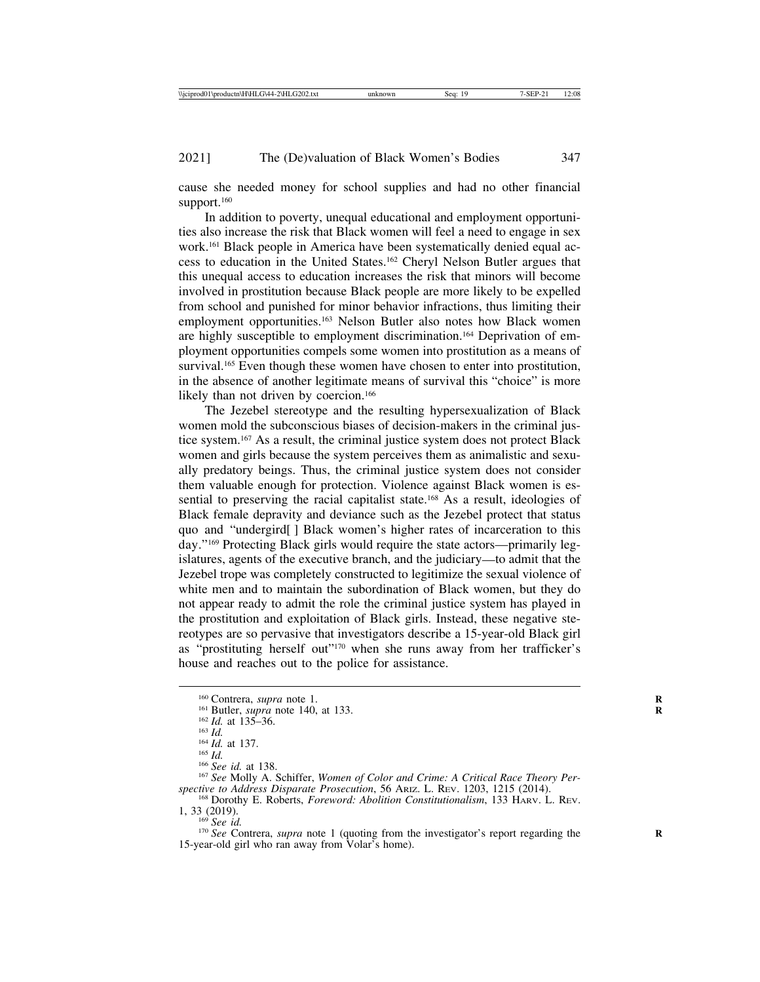cause she needed money for school supplies and had no other financial support.<sup>160</sup>

In addition to poverty, unequal educational and employment opportunities also increase the risk that Black women will feel a need to engage in sex work.161 Black people in America have been systematically denied equal access to education in the United States.162 Cheryl Nelson Butler argues that this unequal access to education increases the risk that minors will become involved in prostitution because Black people are more likely to be expelled from school and punished for minor behavior infractions, thus limiting their employment opportunities.<sup>163</sup> Nelson Butler also notes how Black women are highly susceptible to employment discrimination.164 Deprivation of employment opportunities compels some women into prostitution as a means of survival.<sup>165</sup> Even though these women have chosen to enter into prostitution, in the absence of another legitimate means of survival this "choice" is more likely than not driven by coercion.<sup>166</sup>

The Jezebel stereotype and the resulting hypersexualization of Black women mold the subconscious biases of decision-makers in the criminal justice system.167 As a result, the criminal justice system does not protect Black women and girls because the system perceives them as animalistic and sexually predatory beings. Thus, the criminal justice system does not consider them valuable enough for protection. Violence against Black women is essential to preserving the racial capitalist state.<sup>168</sup> As a result, ideologies of Black female depravity and deviance such as the Jezebel protect that status quo and "undergird[ ] Black women's higher rates of incarceration to this day."169 Protecting Black girls would require the state actors—primarily legislatures, agents of the executive branch, and the judiciary—to admit that the Jezebel trope was completely constructed to legitimize the sexual violence of white men and to maintain the subordination of Black women, but they do not appear ready to admit the role the criminal justice system has played in the prostitution and exploitation of Black girls. Instead, these negative stereotypes are so pervasive that investigators describe a 15-year-old Black girl as "prostituting herself out"170 when she runs away from her trafficker's house and reaches out to the police for assistance.

<sup>&</sup>lt;sup>160</sup> Contrera, *supra* note 1.<br>
<sup>161</sup> Butler, *supra* note 140, at 133.<br>
<sup>162</sup> *Id.* at 135–36.<br>
<sup>163</sup> *Id.*<br>
<sup>164</sup> *Id.* at 137.<br>
<sup>164</sup> *Id.* at 137.<br>
<sup>165</sup> *See id.* at 138.<br>
<sup>166</sup> *See* Molly A. Schiffer, *Women of spective to Address Disparate Prosecution*, 56 ARIZ. L. REV. 1203, 1215 (2014). <sup>168</sup> Dorothy E. Roberts, *Foreword: Abolition Constitutionalism*, 133 HARV. L. REV.

<sup>1, 33 (2019).&</sup>lt;br><sup>169</sup> *See id.* 169 *See id.* 170 *See* Contrera, *supra* note 1 (quoting from the investigator's report regarding the

<sup>15-</sup>year-old girl who ran away from Volar's home).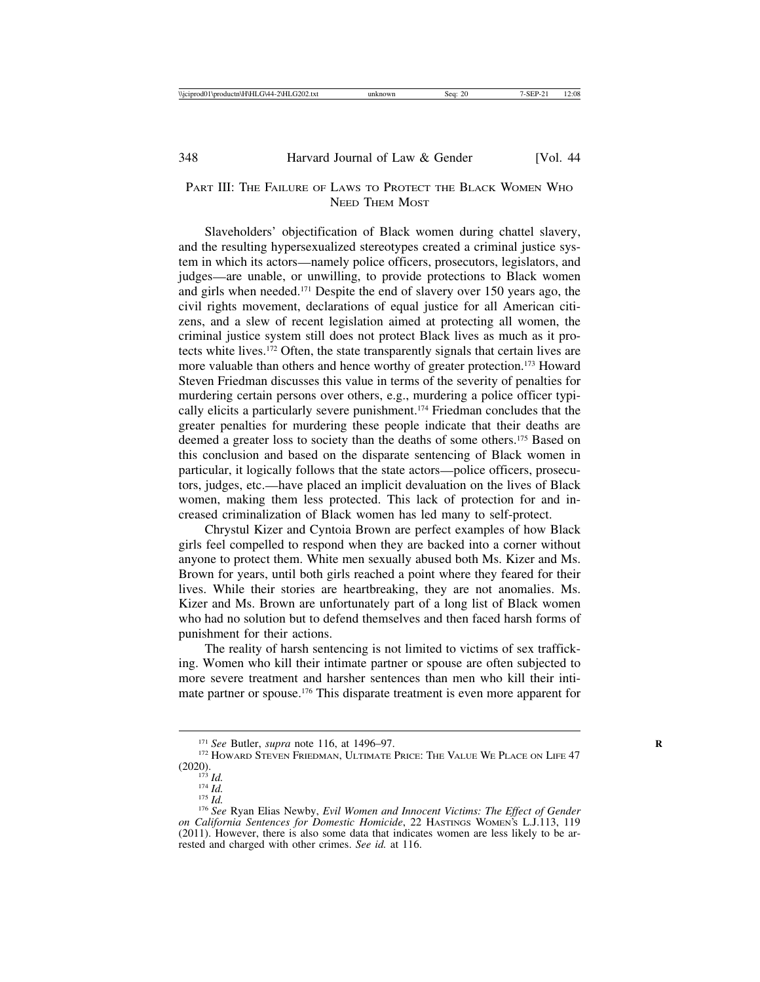## PART III: THE FAILURE OF LAWS TO PROTECT THE BLACK WOMEN WHO NEED THEM MOST

Slaveholders' objectification of Black women during chattel slavery, and the resulting hypersexualized stereotypes created a criminal justice system in which its actors—namely police officers, prosecutors, legislators, and judges—are unable, or unwilling, to provide protections to Black women and girls when needed.171 Despite the end of slavery over 150 years ago, the civil rights movement, declarations of equal justice for all American citizens, and a slew of recent legislation aimed at protecting all women, the criminal justice system still does not protect Black lives as much as it protects white lives.172 Often, the state transparently signals that certain lives are more valuable than others and hence worthy of greater protection.173 Howard Steven Friedman discusses this value in terms of the severity of penalties for murdering certain persons over others, e.g., murdering a police officer typically elicits a particularly severe punishment.174 Friedman concludes that the greater penalties for murdering these people indicate that their deaths are deemed a greater loss to society than the deaths of some others.175 Based on this conclusion and based on the disparate sentencing of Black women in particular, it logically follows that the state actors—police officers, prosecutors, judges, etc.—have placed an implicit devaluation on the lives of Black women, making them less protected. This lack of protection for and increased criminalization of Black women has led many to self-protect.

Chrystul Kizer and Cyntoia Brown are perfect examples of how Black girls feel compelled to respond when they are backed into a corner without anyone to protect them. White men sexually abused both Ms. Kizer and Ms. Brown for years, until both girls reached a point where they feared for their lives. While their stories are heartbreaking, they are not anomalies. Ms. Kizer and Ms. Brown are unfortunately part of a long list of Black women who had no solution but to defend themselves and then faced harsh forms of punishment for their actions.

The reality of harsh sentencing is not limited to victims of sex trafficking. Women who kill their intimate partner or spouse are often subjected to more severe treatment and harsher sentences than men who kill their intimate partner or spouse.176 This disparate treatment is even more apparent for

<sup>&</sup>lt;sup>171</sup> See Butler, *supra* note 116, at 1496–97.<br><sup>172</sup> HOWARD STEVEN FRIEDMAN, ULTIMATE PRICE: THE VALUE WE PLACE ON LIFE 47 (2020). <sup>173</sup> *Id.* <sup>174</sup> *Id.* <sup>175</sup> *Id.* <sup>176</sup> *See* Ryan Elias Newby, *Evil Women and Innocent Victims: The Effect of Gender*

*on California Sentences for Domestic Homicide*, 22 HASTINGS WOMEN'S L.J.113, 119 (2011). However, there is also some data that indicates women are less likely to be arrested and charged with other crimes. *See id.* at 116.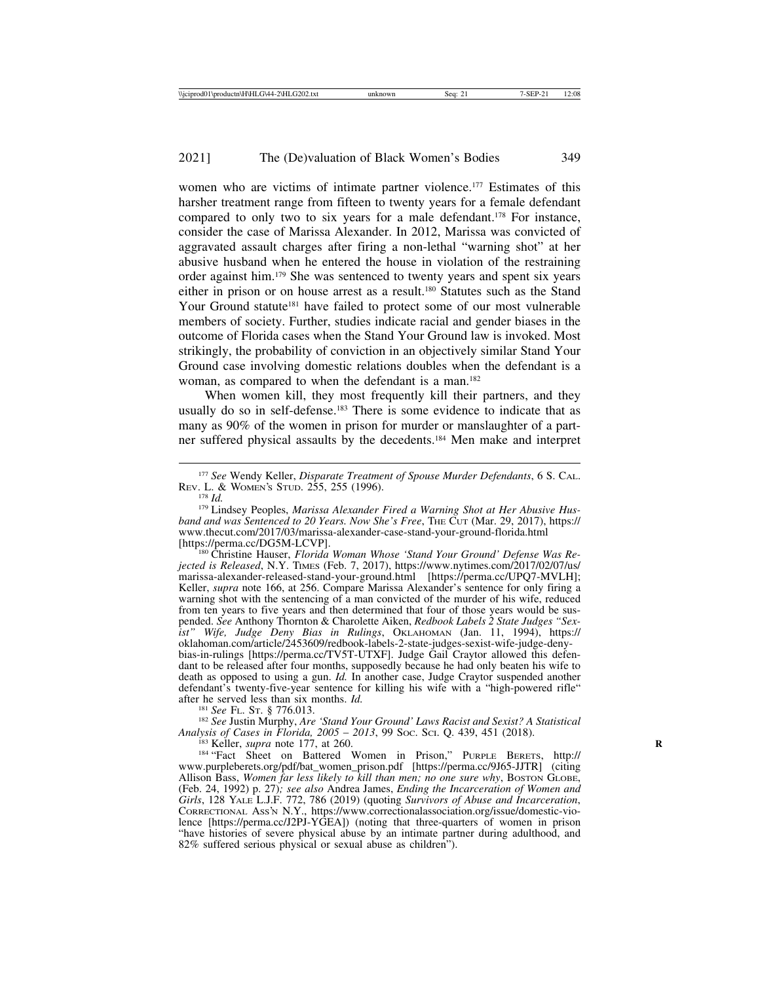women who are victims of intimate partner violence.<sup>177</sup> Estimates of this harsher treatment range from fifteen to twenty years for a female defendant compared to only two to six years for a male defendant.178 For instance, consider the case of Marissa Alexander. In 2012, Marissa was convicted of aggravated assault charges after firing a non-lethal "warning shot" at her abusive husband when he entered the house in violation of the restraining order against him.179 She was sentenced to twenty years and spent six years either in prison or on house arrest as a result.180 Statutes such as the Stand Your Ground statute<sup>181</sup> have failed to protect some of our most vulnerable members of society. Further, studies indicate racial and gender biases in the outcome of Florida cases when the Stand Your Ground law is invoked. Most strikingly, the probability of conviction in an objectively similar Stand Your Ground case involving domestic relations doubles when the defendant is a woman, as compared to when the defendant is a man.<sup>182</sup>

When women kill, they most frequently kill their partners, and they usually do so in self-defense.183 There is some evidence to indicate that as many as 90% of the women in prison for murder or manslaughter of a partner suffered physical assaults by the decedents.184 Men make and interpret

<sup>180</sup> Christine Hauser, *Florida Woman Whose 'Stand Your Ground' Defense Was Rejected is Released*, N.Y. TIMES (Feb. 7, 2017), https://www.nytimes.com/2017/02/07/us/ marissa-alexander-released-stand-your-ground.html [https://perma.cc/UPQ7-MVLH]; Keller, *supra* note 166, at 256. Compare Marissa Alexander's sentence for only firing a warning shot with the sentencing of a man convicted of the murder of his wife, reduced from ten years to five years and then determined that four of those years would be suspended. *See* Anthony Thornton & Charolette Aiken, *Redbook Labels 2 State Judges "Sexist" Wife, Judge Deny Bias in Rulings*, OKLAHOMAN (Jan. 11, 1994), https:// oklahoman.com/article/2453609/redbook-labels-2-state-judges-sexist-wife-judge-denybias-in-rulings [https://perma.cc/TV5T-UTXF]. Judge Gail Craytor allowed this defendant to be released after four months, supposedly because he had only beaten his wife to death as opposed to using a gun. *Id.* In another case, Judge Craytor suspended another defendant's twenty-five-year sentence for killing his wife with a "high-powered rifle" after he served less than six months.  $Id$ .

<sup>181</sup> *See* FL. St. § 776.013.<br><sup>182</sup> *See Justin Murphy, Are 'Stand Your Ground' Laws Racist and Sexist? A Statistical Analysis of Cases in Florida, 2005 – 2013, 99 Soc. Sci. Q. 439, 451 (2018).* 

<sup>183</sup> Keller, *supra* note 177, at 260.<br><sup>184</sup> "Fact Sheet on Battered Women in Prison," PURPLE BERETS, http:// www.purpleberets.org/pdf/bat\_women\_prison.pdf [https://perma.cc/9J65-JJTR] (citing Allison Bass, *Women far less likely to kill than men; no one sure why*, BOSTON GLOBE, (Feb. 24, 1992) p. 27)*; see also* Andrea James, *Ending the Incarceration of Women and Girls*, 128 YALE L.J.F. 772, 786 (2019) (quoting *Survivors of Abuse and Incarceration*, CORRECTIONAL ASS'N N.Y., https://www.correctionalassociation.org/issue/domestic-violence [https://perma.cc/J2PJ-YGEA]) (noting that three-quarters of women in prison "have histories of severe physical abuse by an intimate partner during adulthood, and 82% suffered serious physical or sexual abuse as children").

<sup>&</sup>lt;sup>177</sup> See Wendy Keller, *Disparate Treatment of Spouse Murder Defendants*, 6 S. CAL. Rev. L. & WOMEN's STUD. 255, 255 (1996).

<sup>&</sup>lt;sup>178</sup> Id.<br><sup>179</sup> Lindsey Peoples, *Marissa Alexander Fired a Warning Shot at Her Abusive Husband and was Sentenced to 20 Years. Now She's Free*, THE CUT (Mar. 29, 2017), https:// www.thecut.com/2017/03/marissa-alexander-case-stand-your-ground-florida.html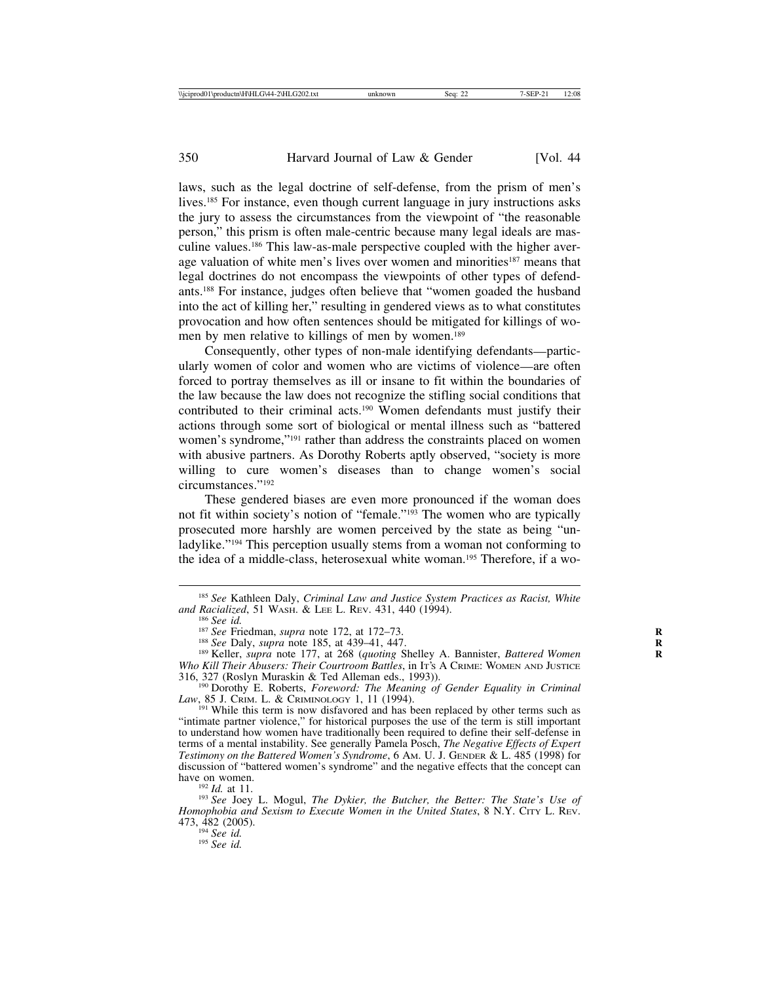laws, such as the legal doctrine of self-defense, from the prism of men's lives.185 For instance, even though current language in jury instructions asks the jury to assess the circumstances from the viewpoint of "the reasonable person," this prism is often male-centric because many legal ideals are masculine values.186 This law-as-male perspective coupled with the higher average valuation of white men's lives over women and minorities<sup>187</sup> means that legal doctrines do not encompass the viewpoints of other types of defendants.188 For instance, judges often believe that "women goaded the husband into the act of killing her," resulting in gendered views as to what constitutes provocation and how often sentences should be mitigated for killings of women by men relative to killings of men by women.<sup>189</sup>

Consequently, other types of non-male identifying defendants—particularly women of color and women who are victims of violence—are often forced to portray themselves as ill or insane to fit within the boundaries of the law because the law does not recognize the stifling social conditions that contributed to their criminal acts.190 Women defendants must justify their actions through some sort of biological or mental illness such as "battered women's syndrome,"191 rather than address the constraints placed on women with abusive partners. As Dorothy Roberts aptly observed, "society is more willing to cure women's diseases than to change women's social circumstances."192

These gendered biases are even more pronounced if the woman does not fit within society's notion of "female."193 The women who are typically prosecuted more harshly are women perceived by the state as being "unladylike."<sup>194</sup> This perception usually stems from a woman not conforming to the idea of a middle-class, heterosexual white woman.195 Therefore, if a wo-

<sup>&</sup>lt;sup>185</sup> *See* Kathleen Daly, *Criminal Law and Justice System Practices as Racist, White and Racialized*, 51 WASH. & LEE L. REV. 431, 440 (1994).

<sup>&</sup>lt;sup>186</sup> See id.<br><sup>187</sup> See Friedman, *supra* note 172, at 172–73.<br><sup>188</sup> See Daly, *supra* note 185, at 439–41, 447.<br><sup>189</sup> Keller, *supra* note 177, at 268 (*quoting* Shelley A. Bannister, *Battered Women Who Kill Their Abusers: Their Courtroom Battles*, in It's A CRIME: WOMEN AND JUSTICE 316, 327 (Roslyn Muraskin & Ted Alleman eds., 1993)).

<sup>&</sup>lt;sup>190</sup> Dorothy E. Roberts, *Foreword: The Meaning of Gender Equality in Criminal Law*, 85 J. CRIM. L. & CRIMINOLOGY 1, 11 (1994).

<sup>&</sup>lt;sup>191</sup> While this term is now disfavored and has been replaced by other terms such as "intimate partner violence," for historical purposes the use of the term is still important to understand how women have traditionally been required to define their self-defense in terms of a mental instability. See generally Pamela Posch, *The Negative Effects of Expert Testimony on the Battered Women's Syndrome*, 6 AM. U. J. GENDER & L. 485 (1998) for discussion of "battered women's syndrome" and the negative effects that the concept can

<sup>&</sup>lt;sup>192</sup> *Id.* at 11.<br><sup>193</sup> *See* Joey L. Mogul, *The Dykier, the Butcher, the Better: The State's Use of Homophobia and Sexism to Execute Women in the United States*, 8 N.Y. CITY L. REV. 473, 482 (2005). <sup>194</sup> *See id.* <sup>195</sup> *See id.*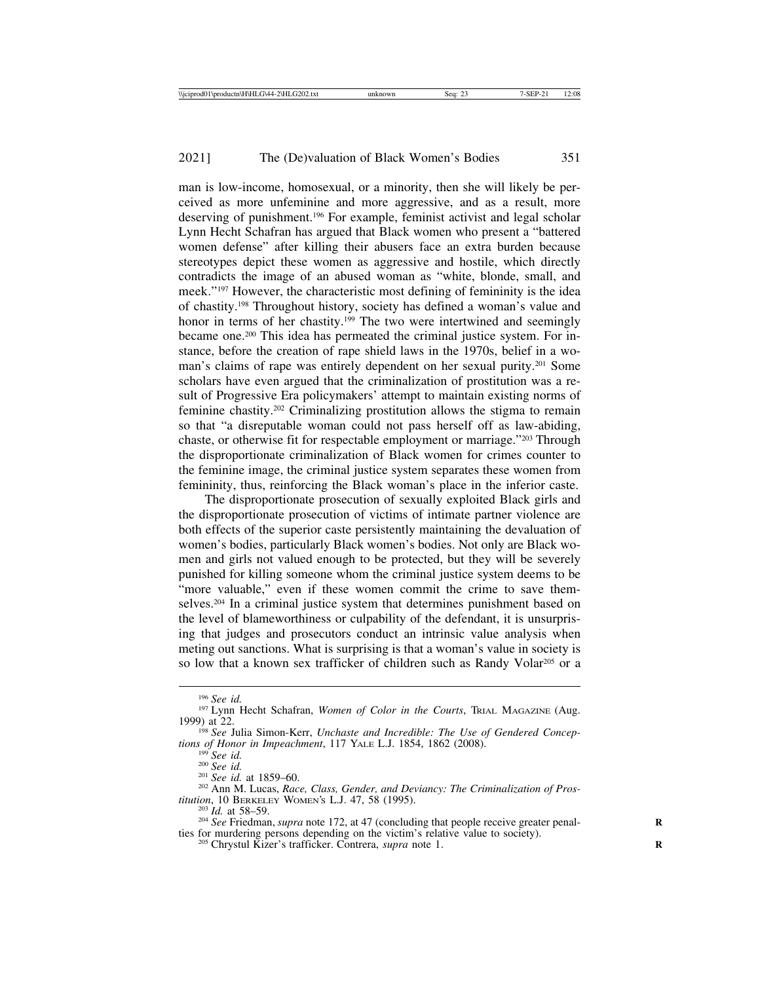man is low-income, homosexual, or a minority, then she will likely be perceived as more unfeminine and more aggressive, and as a result, more deserving of punishment.196 For example, feminist activist and legal scholar Lynn Hecht Schafran has argued that Black women who present a "battered women defense" after killing their abusers face an extra burden because stereotypes depict these women as aggressive and hostile, which directly contradicts the image of an abused woman as "white, blonde, small, and meek."197 However, the characteristic most defining of femininity is the idea of chastity.198 Throughout history, society has defined a woman's value and honor in terms of her chastity.<sup>199</sup> The two were intertwined and seemingly became one.200 This idea has permeated the criminal justice system. For instance, before the creation of rape shield laws in the 1970s, belief in a woman's claims of rape was entirely dependent on her sexual purity.201 Some scholars have even argued that the criminalization of prostitution was a result of Progressive Era policymakers' attempt to maintain existing norms of feminine chastity.202 Criminalizing prostitution allows the stigma to remain so that "a disreputable woman could not pass herself off as law-abiding, chaste, or otherwise fit for respectable employment or marriage."203 Through the disproportionate criminalization of Black women for crimes counter to the feminine image, the criminal justice system separates these women from femininity, thus, reinforcing the Black woman's place in the inferior caste.

The disproportionate prosecution of sexually exploited Black girls and the disproportionate prosecution of victims of intimate partner violence are both effects of the superior caste persistently maintaining the devaluation of women's bodies, particularly Black women's bodies. Not only are Black women and girls not valued enough to be protected, but they will be severely punished for killing someone whom the criminal justice system deems to be "more valuable," even if these women commit the crime to save themselves.204 In a criminal justice system that determines punishment based on the level of blameworthiness or culpability of the defendant, it is unsurprising that judges and prosecutors conduct an intrinsic value analysis when meting out sanctions. What is surprising is that a woman's value in society is so low that a known sex trafficker of children such as Randy Volar<sup>205</sup> or a

<sup>&</sup>lt;sup>196</sup> See id.<br><sup>197</sup> Lynn Hecht Schafran, *Women of Color in the Courts*, Trial Magazine (Aug.<br>1999) at 22.

<sup>&</sup>lt;sup>198</sup> See Julia Simon-Kerr, *Unchaste and Incredible: The Use of Gendered Concep-*

tions of Honor in Impeachment, 117 YALE L.J. 1854, 1862 (2008).<br>
<sup>199</sup> See id.<br>
<sup>200</sup> See id.<br>
<sup>201</sup> See id. at 1859–60.<br>
<sup>201</sup> See id. at 1859–60.<br>
<sup>201</sup> See id. at 1859–60.<br>
<sup>202</sup> Ann M. Lucas, Race, Class, Gender, and

<sup>&</sup>lt;sup>203</sup> *Id.* at 58–59. *Policary BERKELEY Momentum Suppless 1d.* at 47 (concluding that people receive greater penalties for murdering persons depending on the victim's relative value to society). <sup>205</sup> Chrystul Kizer's trafficker. Contrera, *supra* note 1.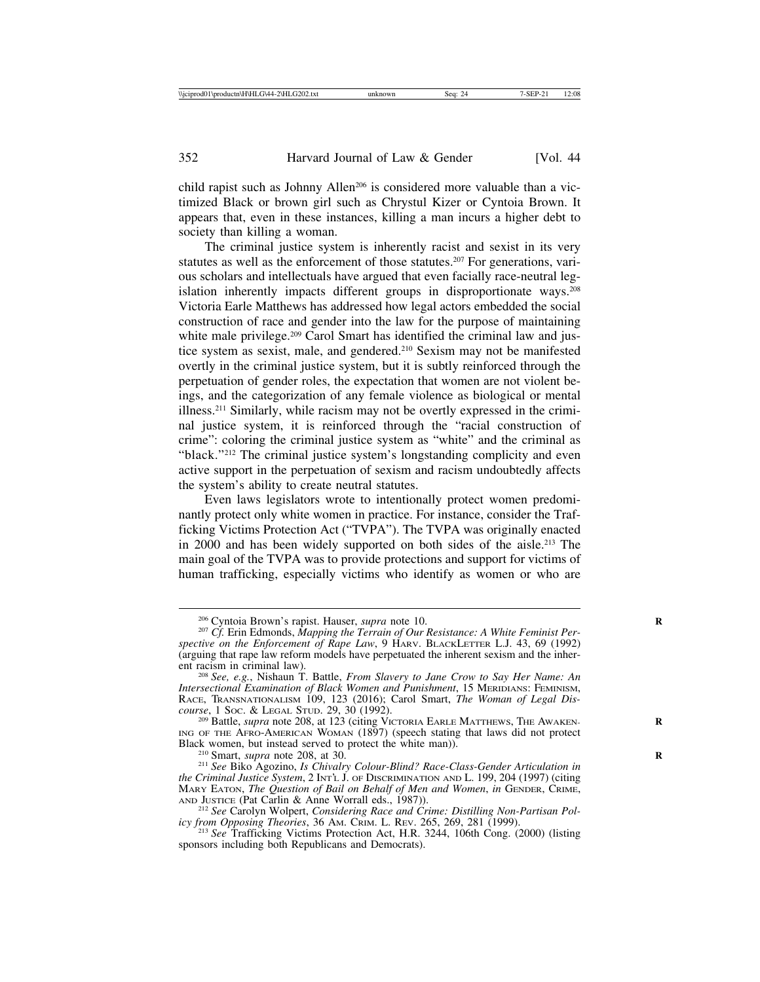child rapist such as Johnny Allen<sup>206</sup> is considered more valuable than a victimized Black or brown girl such as Chrystul Kizer or Cyntoia Brown. It appears that, even in these instances, killing a man incurs a higher debt to society than killing a woman.

The criminal justice system is inherently racist and sexist in its very statutes as well as the enforcement of those statutes.<sup>207</sup> For generations, various scholars and intellectuals have argued that even facially race-neutral legislation inherently impacts different groups in disproportionate ways.<sup>208</sup> Victoria Earle Matthews has addressed how legal actors embedded the social construction of race and gender into the law for the purpose of maintaining white male privilege.<sup>209</sup> Carol Smart has identified the criminal law and justice system as sexist, male, and gendered.210 Sexism may not be manifested overtly in the criminal justice system, but it is subtly reinforced through the perpetuation of gender roles, the expectation that women are not violent beings, and the categorization of any female violence as biological or mental illness.211 Similarly, while racism may not be overtly expressed in the criminal justice system, it is reinforced through the "racial construction of crime": coloring the criminal justice system as "white" and the criminal as "black."212 The criminal justice system's longstanding complicity and even active support in the perpetuation of sexism and racism undoubtedly affects the system's ability to create neutral statutes.

Even laws legislators wrote to intentionally protect women predominantly protect only white women in practice. For instance, consider the Trafficking Victims Protection Act ("TVPA"). The TVPA was originally enacted in 2000 and has been widely supported on both sides of the aisle.213 The main goal of the TVPA was to provide protections and support for victims of human trafficking, especially victims who identify as women or who are

<sup>209</sup> Battle, *supra* note 208, at 123 (citing VICTORIA EARLE MATTHEWS, THE AWAKENING OF THE AFRO-AMERICAN WOMAN (1897) (speech stating that laws did not protect Black women, but instead served to protect the white man)).

<sup>&</sup>lt;sup>206</sup> Cyntoia Brown's rapist. Hauser, *supra* note 10.<br><sup>207</sup> *Cf.* Erin Edmonds, *Mapping the Terrain of Our Resistance: A White Feminist Perspective on the Enforcement of Rape Law*, 9 HARV. BLACKLETTER L.J. 43, 69 (1992) (arguing that rape law reform models have perpetuated the inherent sexism and the inherent racism in criminal law). <sup>208</sup> *See, e.g.*, Nishaun T. Battle, *From Slavery to Jane Crow to Say Her Name: An*

*Intersectional Examination of Black Women and Punishment*, 15 MERIDIANS: FEMINISM, RACE, TRANSNATIONALISM 109, 123 (2016); Carol Smart, *The Woman of Legal Discourse*, 1 Soc. & LEGAL STUD. 29, 30 (1992).<br><sup>209</sup> Battle, *supra* note 208, at 123 (citing VICTORIA EARLE MATTHEWS, THE AWAKEN-

<sup>&</sup>lt;sup>210</sup> Smart, *supra* note 208, at 30. *R* 2010, *Race-Class-Gender Articulation in Race-Class-Gender Articulation in the Criminal Justice System*, 2 INT'L J. OF DISCRIMINATION AND L. 199, 204 (1997) (citing MARY EATON, *The Question of Bail on Behalf of Men and Women*, *in* GENDER, CRIME, AND JUSTICE (Pat Carlin & Anne Worrall eds., 1987)).

<sup>&</sup>lt;sup>212</sup> See Carolyn Wolpert, *Considering Race and Crime: Distilling Non-Partisan Policy from Opposing Theories, 36 Am. CRIM. L. REV. 265, 269, 281 (1999).* 

<sup>&</sup>lt;sup>213</sup> See Trafficking Victims Protection Act, H.R. 3244, 106th Cong. (2000) (listing sponsors including both Republicans and Democrats).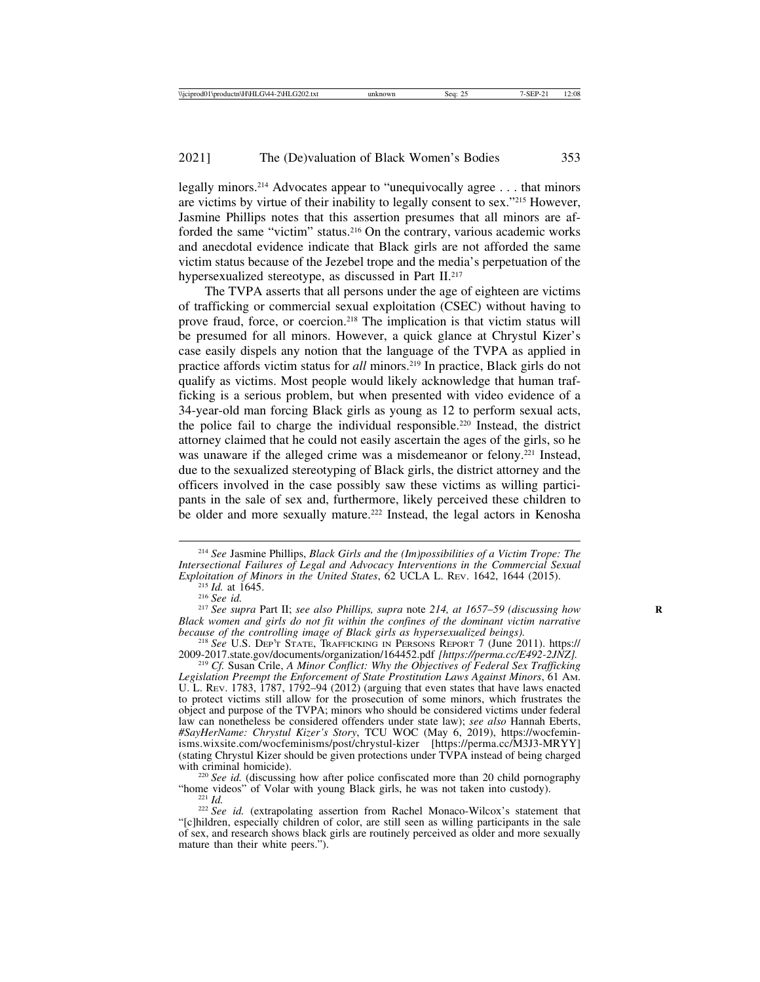legally minors.214 Advocates appear to "unequivocally agree . . . that minors are victims by virtue of their inability to legally consent to sex."215 However, Jasmine Phillips notes that this assertion presumes that all minors are afforded the same "victim" status.216 On the contrary, various academic works and anecdotal evidence indicate that Black girls are not afforded the same victim status because of the Jezebel trope and the media's perpetuation of the hypersexualized stereotype, as discussed in Part II.<sup>217</sup>

The TVPA asserts that all persons under the age of eighteen are victims of trafficking or commercial sexual exploitation (CSEC) without having to prove fraud, force, or coercion.218 The implication is that victim status will be presumed for all minors. However, a quick glance at Chrystul Kizer's case easily dispels any notion that the language of the TVPA as applied in practice affords victim status for *all* minors.219 In practice, Black girls do not qualify as victims. Most people would likely acknowledge that human trafficking is a serious problem, but when presented with video evidence of a 34-year-old man forcing Black girls as young as 12 to perform sexual acts, the police fail to charge the individual responsible.220 Instead, the district attorney claimed that he could not easily ascertain the ages of the girls, so he was unaware if the alleged crime was a misdemeanor or felony.<sup>221</sup> Instead, due to the sexualized stereotyping of Black girls, the district attorney and the officers involved in the case possibly saw these victims as willing participants in the sale of sex and, furthermore, likely perceived these children to be older and more sexually mature.<sup>222</sup> Instead, the legal actors in Kenosha

<sup>214</sup> *See* Jasmine Phillips, *Black Girls and the (Im)possibilities of a Victim Trope: The Intersectional Failures of Legal and Advocacy Interventions in the Commercial Sexual Exploitation of Minors in the United States, 62 UCLA L. REV. 1642, 1644 (2015).* 

<sup>&</sup>lt;sup>215</sup> Id. at 1645.<br><sup>216</sup> See id.<br><sup>217</sup> See supra Part II; see also Phillips, supra note 214, at 1657–59 (discussing how *Black women and girls do not fit within the confines of the dominant victim narrative*

<sup>&</sup>lt;sup>218</sup> See U.S. DEP'T STATE, TRAFFICKING IN PERSONS REPORT 7 (June 2011). https://<br>2009-2017.state.gov/documents/organization/164452.pdf [https://perma.cc/E492-2JNZ].

<sup>&</sup>lt;sup>219</sup> Cf. Susan Crile, *A Minor Conflict: Why the Objectives of Federal Sex Trafficking Legislation Preempt the Enforcement of State Prostitution Laws Against Minors*, 61 AM. U. L. Rev. 1783, 1787, 1792–94  $(2012)$  (arguing that even states that have laws enacted to protect victims still allow for the prosecution of some minors, which frustrates the object and purpose of the TVPA; minors who should be considered victims under federal law can nonetheless be considered offenders under state law); *see also* Hannah Eberts, *#SayHerName: Chrystul Kizer's Story*, TCU WOC (May 6, 2019), https://wocfeminisms.wixsite.com/wocfeminisms/post/chrystul-kizer [https://perma.cc/M3J3-MRYY] (stating Chrystul Kizer should be given protections under TVPA instead of being charged

<sup>&</sup>lt;sup>220</sup> *See id.* (discussing how after police confiscated more than 20 child pornography "home videos" of Volar with young Black girls, he was not taken into custody).

<sup>&</sup>lt;sup>221</sup> *Id.* 222 *Id.* (extrapolating assertion from Rachel Monaco-Wilcox's statement that "[c]hildren, especially children of color, are still seen as willing participants in the sale of sex, and research shows black girls are routinely perceived as older and more sexually mature than their white peers.").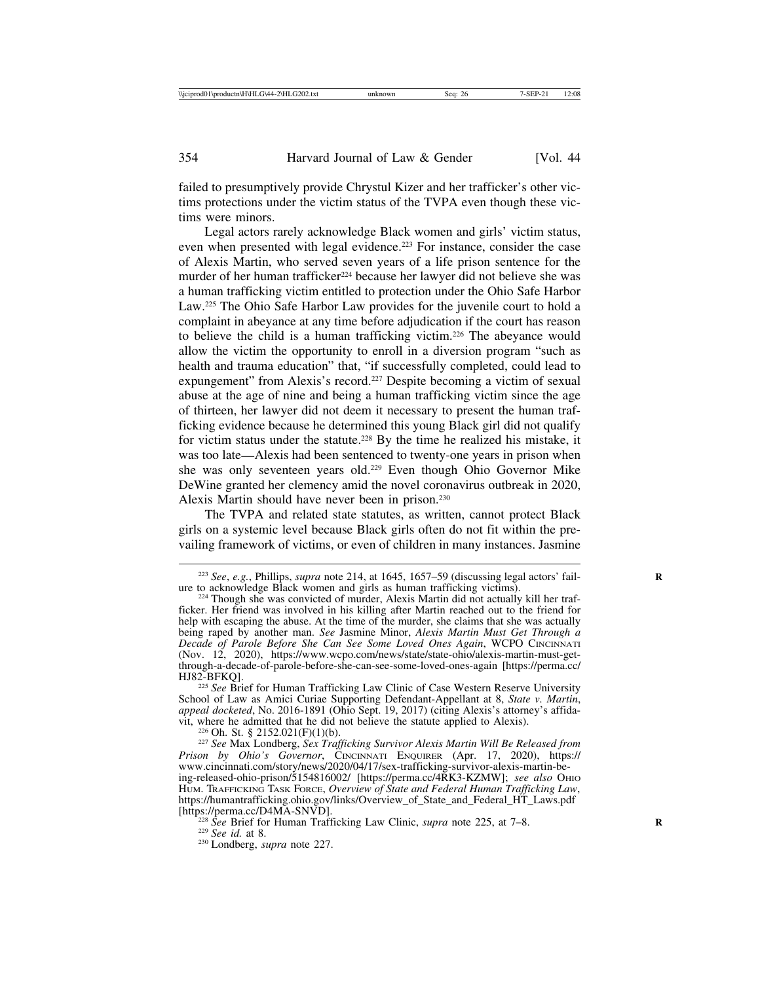failed to presumptively provide Chrystul Kizer and her trafficker's other victims protections under the victim status of the TVPA even though these victims were minors.

Legal actors rarely acknowledge Black women and girls' victim status, even when presented with legal evidence.<sup>223</sup> For instance, consider the case of Alexis Martin, who served seven years of a life prison sentence for the murder of her human trafficker<sup>224</sup> because her lawyer did not believe she was a human trafficking victim entitled to protection under the Ohio Safe Harbor Law.225 The Ohio Safe Harbor Law provides for the juvenile court to hold a complaint in abeyance at any time before adjudication if the court has reason to believe the child is a human trafficking victim.226 The abeyance would allow the victim the opportunity to enroll in a diversion program "such as health and trauma education" that, "if successfully completed, could lead to expungement" from Alexis's record.<sup>227</sup> Despite becoming a victim of sexual abuse at the age of nine and being a human trafficking victim since the age of thirteen, her lawyer did not deem it necessary to present the human trafficking evidence because he determined this young Black girl did not qualify for victim status under the statute.228 By the time he realized his mistake, it was too late—Alexis had been sentenced to twenty-one years in prison when she was only seventeen years old.229 Even though Ohio Governor Mike DeWine granted her clemency amid the novel coronavirus outbreak in 2020, Alexis Martin should have never been in prison.230

The TVPA and related state statutes, as written, cannot protect Black girls on a systemic level because Black girls often do not fit within the prevailing framework of victims, or even of children in many instances. Jasmine

<sup>225</sup> See Brief for Human Trafficking Law Clinic of Case Western Reserve University School of Law as Amici Curiae Supporting Defendant-Appellant at 8, *State v. Martin*, *appeal docketed*, No. 2016-1891 (Ohio Sept. 19, 2017) (citing Alexis's attorney's affidavit, where he admitted that he did not believe the statute applied to Alexis). <sup>226</sup> Oh. St. § 2152.021(F)(1)(b). <sup>227</sup> *See* Max Londberg, *Sex Trafficking Survivor Alexis Martin Will Be Released from*

*Prison by Ohio's Governor*, CINCINNATI ENQUIRER (Apr. 17, 2020), https:// www.cincinnati.com/story/news/2020/04/17/sex-trafficking-survivor-alexis-martin-being-released-ohio-prison/5154816002/ [https://perma.cc/4RK3-KZMW]; *see also* OHIO HUM. TRAFFICKING TASK FORCE, *Overview of State and Federal Human Trafficking Law*, https://humantrafficking.ohio.gov/links/Overview\_of\_State\_and\_Federal\_HT\_Laws.pdf

<sup>228</sup> *See* Brief for Human Trafficking Law Clinic, *supra* note 225, at 7–8. <sup>229</sup> *See id.* at 8. <sup>230</sup> Londberg, *supra* note 227.

<sup>&</sup>lt;sup>223</sup> *See*, *e.g.*, Phillips, *supra* note 214, at 1645, 1657–59 (discussing legal actors' fail-<br>ure to acknowledge Black women and girls as human trafficking victims).

 $224$  Though she was convicted of murder, Alexis Martin did not actually kill her trafficker. Her friend was involved in his killing after Martin reached out to the friend for help with escaping the abuse. At the time of the murder, she claims that she was actually being raped by another man. *See* Jasmine Minor, *Alexis Martin Must Get Through a Decade of Parole Before She Can See Some Loved Ones Again*, WCPO CINCINNATI (Nov. 12, 2020), https://www.wcpo.com/news/state/state-ohio/alexis-martin-must-getthrough-a-decade-of-parole-before-she-can-see-some-loved-ones-again [https://perma.cc/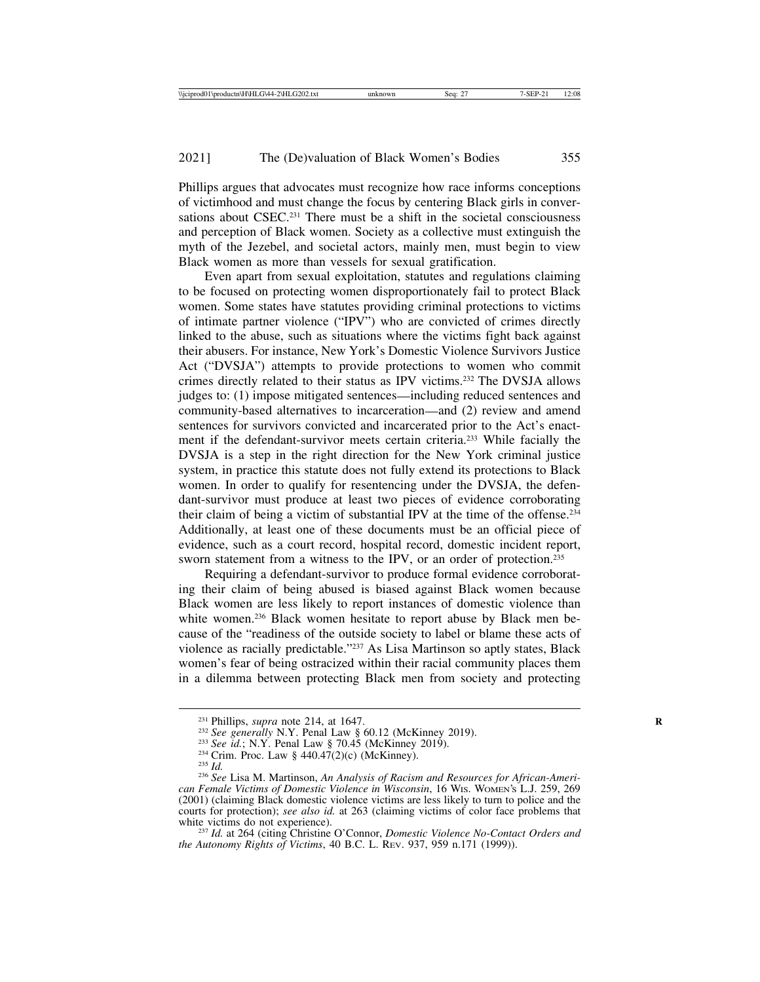Phillips argues that advocates must recognize how race informs conceptions of victimhood and must change the focus by centering Black girls in conversations about  $CSEC. <sup>231</sup> There must be a shift in the social consciousness$ and perception of Black women. Society as a collective must extinguish the myth of the Jezebel, and societal actors, mainly men, must begin to view Black women as more than vessels for sexual gratification.

Even apart from sexual exploitation, statutes and regulations claiming to be focused on protecting women disproportionately fail to protect Black women. Some states have statutes providing criminal protections to victims of intimate partner violence ("IPV") who are convicted of crimes directly linked to the abuse, such as situations where the victims fight back against their abusers. For instance, New York's Domestic Violence Survivors Justice Act ("DVSJA") attempts to provide protections to women who commit crimes directly related to their status as IPV victims.232 The DVSJA allows judges to: (1) impose mitigated sentences—including reduced sentences and community-based alternatives to incarceration—and (2) review and amend sentences for survivors convicted and incarcerated prior to the Act's enactment if the defendant-survivor meets certain criteria.233 While facially the DVSJA is a step in the right direction for the New York criminal justice system, in practice this statute does not fully extend its protections to Black women. In order to qualify for resentencing under the DVSJA, the defendant-survivor must produce at least two pieces of evidence corroborating their claim of being a victim of substantial IPV at the time of the offense.234 Additionally, at least one of these documents must be an official piece of evidence, such as a court record, hospital record, domestic incident report, sworn statement from a witness to the IPV, or an order of protection.<sup>235</sup>

Requiring a defendant-survivor to produce formal evidence corroborating their claim of being abused is biased against Black women because Black women are less likely to report instances of domestic violence than white women.<sup>236</sup> Black women hesitate to report abuse by Black men because of the "readiness of the outside society to label or blame these acts of violence as racially predictable."237 As Lisa Martinson so aptly states, Black women's fear of being ostracized within their racial community places them in a dilemma between protecting Black men from society and protecting

<sup>&</sup>lt;sup>231</sup> Phillips, *supra* note 214, at 1647.<br><sup>232</sup> See generally N.Y. Penal Law § 60.12 (McKinney 2019).<br><sup>233</sup> See id.; N.Y. Penal Law § 70.45 (McKinney 2019).<br><sup>234</sup> Crim. Proc. Law § 440.47(2)(c) (McKinney).<br><sup>235</sup> Id.<br><sup>236</sup> *can Female Victims of Domestic Violence in Wisconsin*, 16 WIS. WOMEN'S L.J. 259, 269 (2001) (claiming Black domestic violence victims are less likely to turn to police and the courts for protection); *see also id.* at 263 (claiming victims of color face problems that white victims do not experience).

<sup>&</sup>lt;sup>237</sup> *Id.* at 264 (citing Christine O'Connor, *Domestic Violence No-Contact Orders and the Autonomy Rights of Victims*, 40 B.C. L. REV. 937, 959 n.171 (1999)).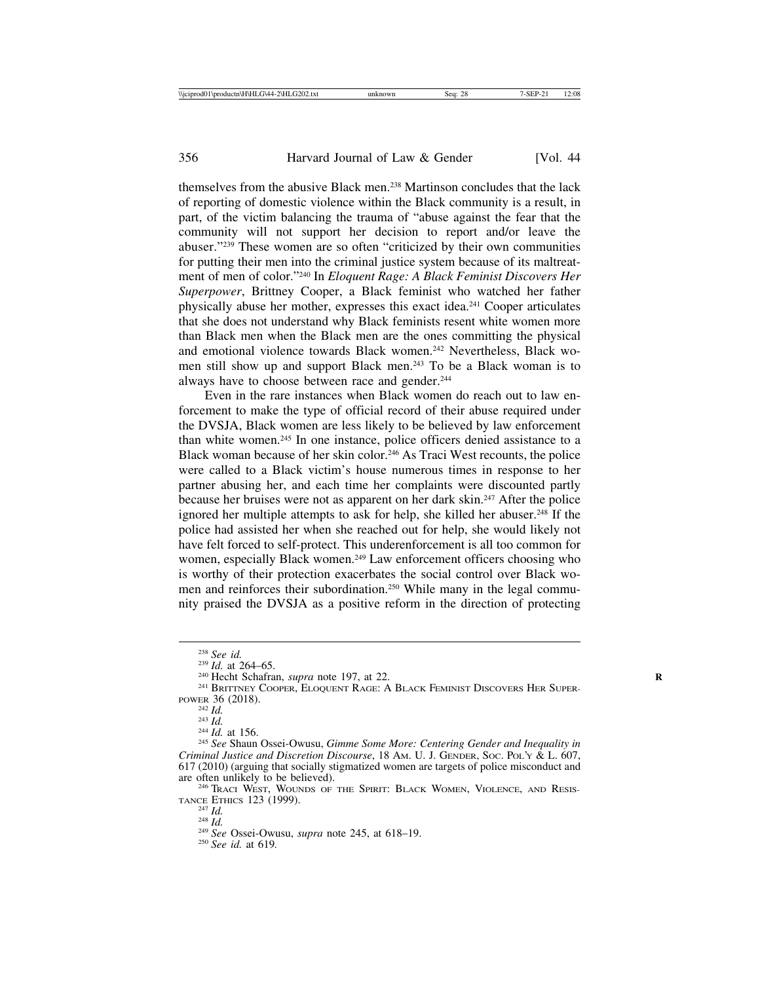themselves from the abusive Black men.238 Martinson concludes that the lack of reporting of domestic violence within the Black community is a result, in part, of the victim balancing the trauma of "abuse against the fear that the community will not support her decision to report and/or leave the abuser."239 These women are so often "criticized by their own communities for putting their men into the criminal justice system because of its maltreatment of men of color."240 In *Eloquent Rage: A Black Feminist Discovers Her Superpower*, Brittney Cooper, a Black feminist who watched her father physically abuse her mother, expresses this exact idea.241 Cooper articulates that she does not understand why Black feminists resent white women more than Black men when the Black men are the ones committing the physical and emotional violence towards Black women.242 Nevertheless, Black women still show up and support Black men.243 To be a Black woman is to always have to choose between race and gender.<sup>244</sup>

Even in the rare instances when Black women do reach out to law enforcement to make the type of official record of their abuse required under the DVSJA, Black women are less likely to be believed by law enforcement than white women.245 In one instance, police officers denied assistance to a Black woman because of her skin color.<sup>246</sup> As Traci West recounts, the police were called to a Black victim's house numerous times in response to her partner abusing her, and each time her complaints were discounted partly because her bruises were not as apparent on her dark skin.247 After the police ignored her multiple attempts to ask for help, she killed her abuser.<sup>248</sup> If the police had assisted her when she reached out for help, she would likely not have felt forced to self-protect. This underenforcement is all too common for women, especially Black women.<sup>249</sup> Law enforcement officers choosing who is worthy of their protection exacerbates the social control over Black women and reinforces their subordination.250 While many in the legal community praised the DVSJA as a positive reform in the direction of protecting

<sup>&</sup>lt;sup>238</sup> *See id.*<br><sup>239</sup> *Id.* at 264–65.<br><sup>240</sup> Hecht Schafran, *supra* note 197, at 22.<br><sup>241</sup> BRITTNEY COOPER, ELOQUENT RAGE: A BLACK FEMINIST DISCOVERS HER SUPER-<br>POWER 36 (2018).

POWER 36 (2018). <sup>242</sup> *Id.* <sup>243</sup> *Id.* <sup>244</sup> *Id.* at 156. <sup>245</sup> *See* Shaun Ossei-Owusu, *Gimme Some More: Centering Gender and Inequality in Criminal Justice and Discretion Discourse*, 18 AM. U. J. GENDER, SOC. POL'Y & L. 607, 617 (2010) (arguing that socially stigmatized women are targets of police misconduct and

<sup>&</sup>lt;sup>246</sup> Traci West, Wounds of the Spirit: Black Women, Violence, and Resistance Ethics 123 (1999).

<sup>&</sup>lt;sup>247</sup> *Id.* <sup>248</sup> *Id.* <sup>248</sup> *Id.* 2<sup>48</sup> *See* Ossei-Owusu, *supra* note 245, at 618–19. <sup>250</sup> *See id.* at 619.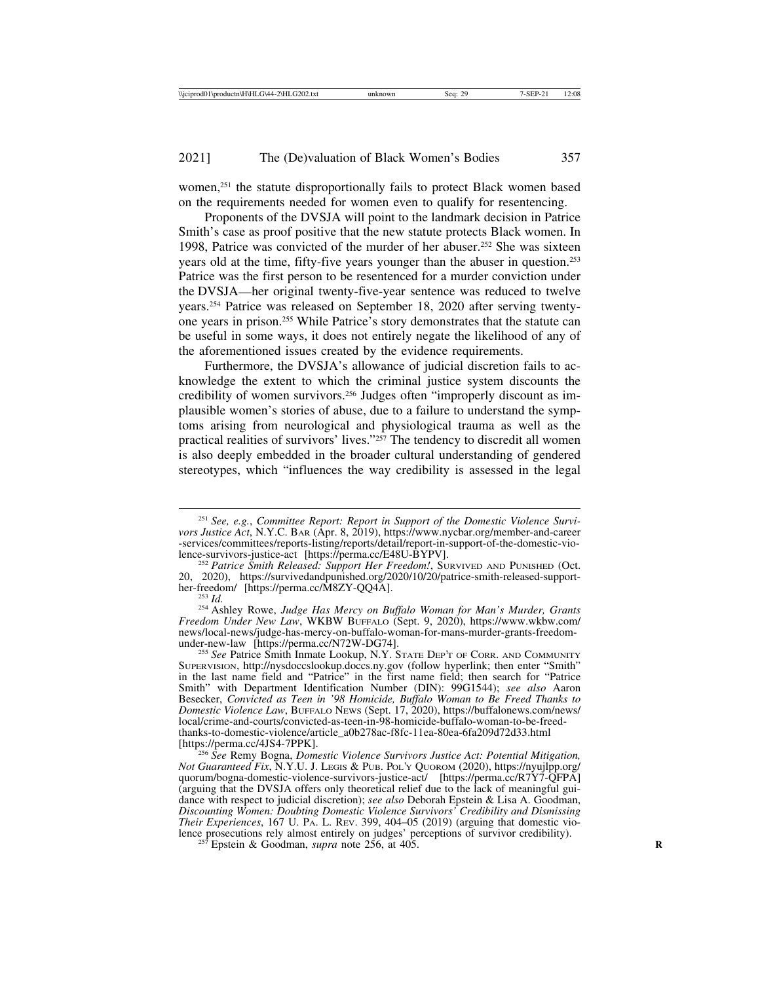women,<sup>251</sup> the statute disproportionally fails to protect Black women based on the requirements needed for women even to qualify for resentencing.

Proponents of the DVSJA will point to the landmark decision in Patrice Smith's case as proof positive that the new statute protects Black women. In 1998, Patrice was convicted of the murder of her abuser.252 She was sixteen years old at the time, fifty-five years younger than the abuser in question.253 Patrice was the first person to be resentenced for a murder conviction under the DVSJA—her original twenty-five-year sentence was reduced to twelve years.254 Patrice was released on September 18, 2020 after serving twentyone years in prison.255 While Patrice's story demonstrates that the statute can be useful in some ways, it does not entirely negate the likelihood of any of the aforementioned issues created by the evidence requirements.

Furthermore, the DVSJA's allowance of judicial discretion fails to acknowledge the extent to which the criminal justice system discounts the credibility of women survivors.256 Judges often "improperly discount as implausible women's stories of abuse, due to a failure to understand the symptoms arising from neurological and physiological trauma as well as the practical realities of survivors' lives."257 The tendency to discredit all women is also deeply embedded in the broader cultural understanding of gendered stereotypes, which "influences the way credibility is assessed in the legal

<sup>253</sup> *Id.* <sup>253</sup> *Id.* 254 Ashley Rowe, *Judge Has Mercy on Buffalo Woman for Man's Murder, Grants Freedom Under New Law*, WKBW BUFFALO (Sept. 9, 2020), https://www.wkbw.com/ news/local-news/judge-has-mercy-on-buffalo-woman-for-mans-murder-grants-freedom-

<sup>251</sup> *See, e.g.*, *Committee Report: Report in Support of the Domestic Violence Survivors Justice Act*, N.Y.C. BAR (Apr. 8, 2019), https://www.nycbar.org/member-and-career -services/committees/reports-listing/reports/detail/report-in-support-of-the-domestic-vio-

<sup>&</sup>lt;sup>252</sup> Patrice Smith Released: Support Her Freedom!, SURVIVED AND PUNISHED (Oct. 20, 2020), https://survivedandpunished.org/2020/10/20/patrice-smith-released-support-<br>her-freedom/ [https://perma.cc/M8ZY-QQ4A].

<sup>&</sup>lt;sup>255</sup> See Patrice Smith Inmate Lookup, N.Y. STATE DEP'T OF CORR. AND COMMUNITY SUPERVISION, http://nysdoccslookup.doccs.ny.gov (follow hyperlink; then enter "Smith" in the last name field and "Patrice" in the first name field; then search for "Patrice Smith" with Department Identification Number (DIN): 99G1544); *see also* Aaron Besecker, *Convicted as Teen in '98 Homicide, Buffalo Woman to Be Freed Thanks to Domestic Violence Law*, BUFFALO NEWS (Sept. 17, 2020), https://buffalonews.com/news/ local/crime-and-courts/convicted-as-teen-in-98-homicide-buffalo-woman-to-be-freedthanks-to-domestic-violence/article\_a0b278ac-f8fc-11ea-80ea-6fa209d72d33.html

<sup>&</sup>lt;sup>256</sup> See Remy Bogna, *Domestic Violence Survivors Justice Act: Potential Mitigation, Not Guaranteed Fix*, N.Y.U. J. LEGIS & PUB. POL'Y QUOROM (2020), https://nyujlpp.org/ quorum/bogna-domestic-violence-survivors-justice-act/ [https://perma.cc/R7Y7-QFPA] (arguing that the DVSJA offers only theoretical relief due to the lack of meaningful guidance with respect to judicial discretion); *see also* Deborah Epstein & Lisa A. Goodman, *Discounting Women: Doubting Domestic Violence Survivors' Credibility and Dismissing Their Experiences*, 167 U. PA. L. REV. 399, 404–05 (2019) (arguing that domestic violence prosecutions rely almost entirely on judges' perceptions of survivor credibility). <sup>257</sup> Epstein & Goodman, *supra* note 256, at 405.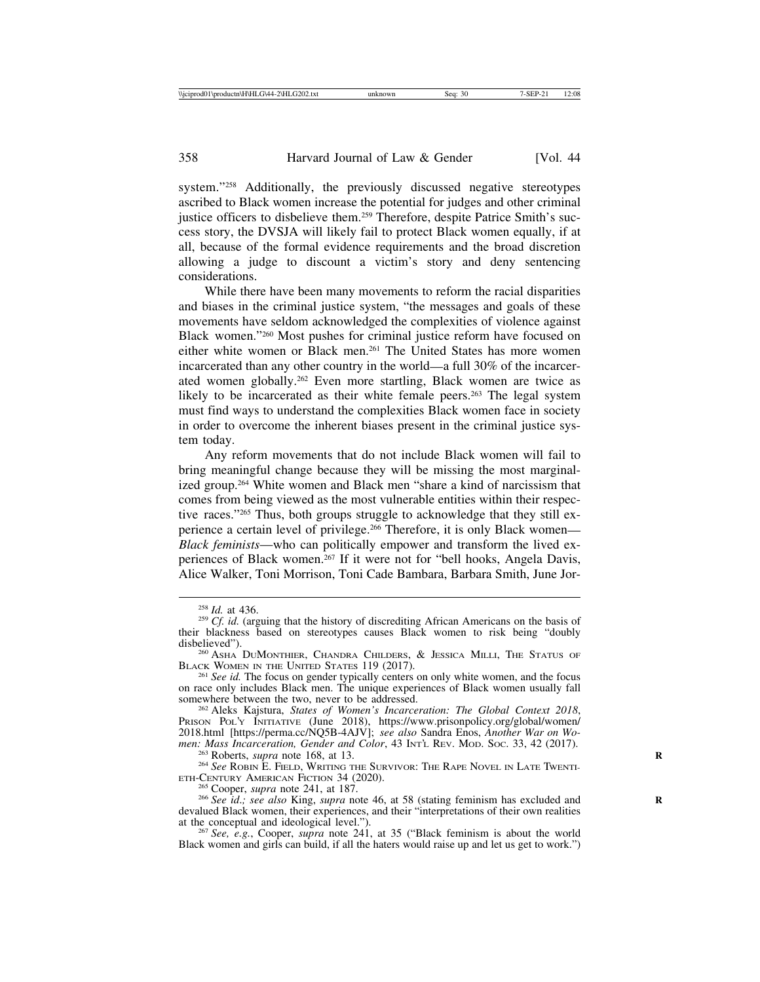system."258 Additionally, the previously discussed negative stereotypes ascribed to Black women increase the potential for judges and other criminal justice officers to disbelieve them.259 Therefore, despite Patrice Smith's success story, the DVSJA will likely fail to protect Black women equally, if at all, because of the formal evidence requirements and the broad discretion allowing a judge to discount a victim's story and deny sentencing considerations.

While there have been many movements to reform the racial disparities and biases in the criminal justice system, "the messages and goals of these movements have seldom acknowledged the complexities of violence against Black women."260 Most pushes for criminal justice reform have focused on either white women or Black men.261 The United States has more women incarcerated than any other country in the world—a full 30% of the incarcerated women globally.262 Even more startling, Black women are twice as likely to be incarcerated as their white female peers.<sup>263</sup> The legal system must find ways to understand the complexities Black women face in society in order to overcome the inherent biases present in the criminal justice system today.

Any reform movements that do not include Black women will fail to bring meaningful change because they will be missing the most marginalized group.264 White women and Black men "share a kind of narcissism that comes from being viewed as the most vulnerable entities within their respective races."265 Thus, both groups struggle to acknowledge that they still experience a certain level of privilege.266 Therefore, it is only Black women— *Black feminists*—who can politically empower and transform the lived experiences of Black women.267 If it were not for "bell hooks, Angela Davis, Alice Walker, Toni Morrison, Toni Cade Bambara, Barbara Smith, June Jor-

<sup>&</sup>lt;sup>258</sup> *Id.* at 436.<br><sup>259</sup> *Cf. id.* (arguing that the history of discrediting African Americans on the basis of their blackness based on stereotypes causes Black women to risk being "doubly

 $^{260}$  ASHA DUMONTHIER, CHANDRA CHILDERS, & JESSICA MILLI, THE STATUS OF BLACK WOMEN IN THE UNITED STATES 119 (2017).

<sup>&</sup>lt;sup>261</sup> See id. The focus on gender typically centers on only white women, and the focus on race only includes Black men. The unique experiences of Black women usually fall

<sup>&</sup>lt;sup>262</sup> Aleks Kajstura, *States of Women's Incarceration: The Global Context 2018*, PRISON POL'Y INITIATIVE (June 2018), https://www.prisonpolicy.org/global/women/ 2018.html [https://perma.cc/NQ5B-4AJV]; *see also* Sandra Enos, *Another War on Wo-*

<sup>&</sup>lt;sup>263</sup> Roberts, *supra* note 168, at 13.<br><sup>264</sup> *See* Robin E. Field, Writing the Survivor: The Rape Novel in Late Twenti-<br>ETH-CENTURY AMERICAN FICTION 34 (2020).

<sup>&</sup>lt;sup>265</sup> Cooper, *supra* note 241, at 187.<br><sup>266</sup> See id.; see also King, *supra* note 46, at 58 (stating feminism has excluded and devalued Black women, their experiences, and their "interpretations of their own realities at the conceptual and ideological level.").

<sup>&</sup>lt;sup>267</sup> See, e.g., Cooper, *supra* note 241, at 35 ("Black feminism is about the world Black women and girls can build, if all the haters would raise up and let us get to work.")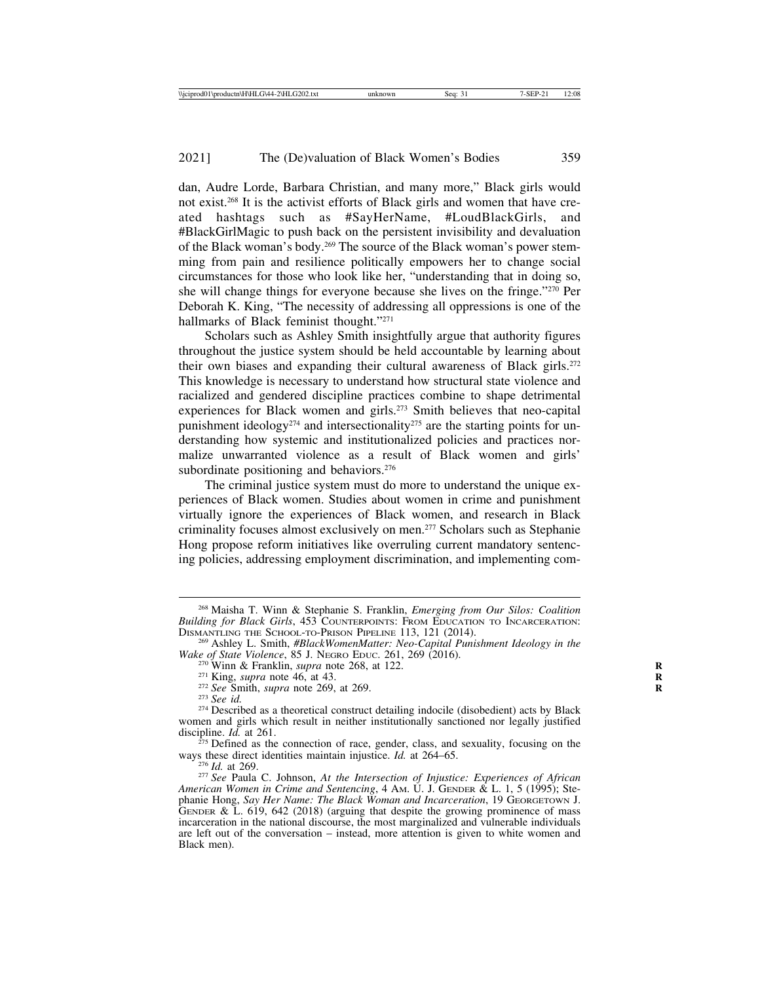dan, Audre Lorde, Barbara Christian, and many more," Black girls would not exist.268 It is the activist efforts of Black girls and women that have created hashtags such as #SayHerName, #LoudBlackGirls, and #BlackGirlMagic to push back on the persistent invisibility and devaluation of the Black woman's body.269 The source of the Black woman's power stemming from pain and resilience politically empowers her to change social circumstances for those who look like her, "understanding that in doing so, she will change things for everyone because she lives on the fringe."270 Per Deborah K. King, "The necessity of addressing all oppressions is one of the hallmarks of Black feminist thought."271

Scholars such as Ashley Smith insightfully argue that authority figures throughout the justice system should be held accountable by learning about their own biases and expanding their cultural awareness of Black girls.<sup>272</sup> This knowledge is necessary to understand how structural state violence and racialized and gendered discipline practices combine to shape detrimental experiences for Black women and girls.<sup>273</sup> Smith believes that neo-capital punishment ideology<sup>274</sup> and intersectionality<sup>275</sup> are the starting points for understanding how systemic and institutionalized policies and practices normalize unwarranted violence as a result of Black women and girls' subordinate positioning and behaviors.<sup>276</sup>

The criminal justice system must do more to understand the unique experiences of Black women. Studies about women in crime and punishment virtually ignore the experiences of Black women, and research in Black criminality focuses almost exclusively on men.277 Scholars such as Stephanie Hong propose reform initiatives like overruling current mandatory sentencing policies, addressing employment discrimination, and implementing com-

<sup>268</sup> Maisha T. Winn & Stephanie S. Franklin, *Emerging from Our Silos: Coalition Building for Black Girls*, 453 COUNTERPOINTS: FROM EDUCATION TO INCARCERATION:<br>DISMANTLING THE SCHOOL-TO-PRISON PIPELINE 113, 121 (2014).

<sup>&</sup>lt;sup>269</sup> Ashley L. Smith, *#BlackWomenMatter: Neo-Capital Punishment Ideology in the Wake of State Violence*, 85 J. Neoro Eppe. 261, 269 (2016).

<sup>&</sup>lt;sup>270</sup> Winn & Franklin, *supra* note 268, at 122.<br><sup>271</sup> King, *supra* note 46, at 43.<br><sup>272</sup> See Smith, *supra* note 269, at 269.<br><sup>273</sup> See id.<br><sup>274</sup> Described as a theoretical construct detailing indocile (disobedient) act women and girls which result in neither institutionally sanctioned nor legally justified discipline. *Id.* at 261.

 $275$  Defined as the connection of race, gender, class, and sexuality, focusing on the ways these direct identities maintain injustice. *Id.* at  $264-65$ .

<sup>&</sup>lt;sup>276</sup> *Id.* at 269.<br><sup>277</sup> *See* Paula C. Johnson, *At the Intersection of Injustice: Experiences of African American Women in Crime and Sentencing*, 4 AM. U. J. GENDER & L. 1, 5 (1995); Stephanie Hong, *Say Her Name: The Black Woman and Incarceration*, 19 GEORGETOWN J. GENDER & L.  $619$ ,  $642$  (2018) (arguing that despite the growing prominence of mass incarceration in the national discourse, the most marginalized and vulnerable individuals are left out of the conversation – instead, more attention is given to white women and Black men).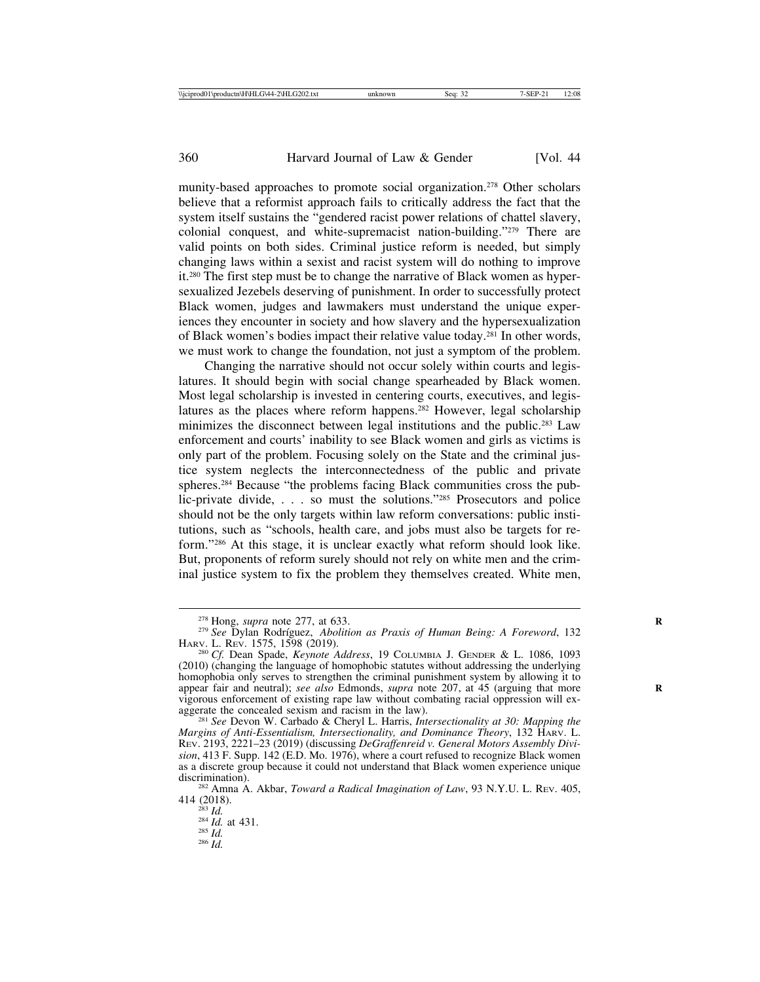munity-based approaches to promote social organization.278 Other scholars believe that a reformist approach fails to critically address the fact that the system itself sustains the "gendered racist power relations of chattel slavery, colonial conquest, and white-supremacist nation-building."279 There are valid points on both sides. Criminal justice reform is needed, but simply changing laws within a sexist and racist system will do nothing to improve it.280 The first step must be to change the narrative of Black women as hypersexualized Jezebels deserving of punishment. In order to successfully protect Black women, judges and lawmakers must understand the unique experiences they encounter in society and how slavery and the hypersexualization of Black women's bodies impact their relative value today.281 In other words, we must work to change the foundation, not just a symptom of the problem.

Changing the narrative should not occur solely within courts and legislatures. It should begin with social change spearheaded by Black women. Most legal scholarship is invested in centering courts, executives, and legislatures as the places where reform happens.<sup>282</sup> However, legal scholarship minimizes the disconnect between legal institutions and the public.<sup>283</sup> Law enforcement and courts' inability to see Black women and girls as victims is only part of the problem. Focusing solely on the State and the criminal justice system neglects the interconnectedness of the public and private spheres.284 Because "the problems facing Black communities cross the public-private divide, . . . so must the solutions."285 Prosecutors and police should not be the only targets within law reform conversations: public institutions, such as "schools, health care, and jobs must also be targets for reform."286 At this stage, it is unclear exactly what reform should look like. But, proponents of reform surely should not rely on white men and the criminal justice system to fix the problem they themselves created. White men,

414 (2018). <sup>283</sup> *Id.* <sup>284</sup> *Id.* at 431. <sup>285</sup> *Id.* <sup>286</sup> *Id.*

<sup>&</sup>lt;sup>278</sup> Hong, *supra* note 277, at 633.<br><sup>279</sup> *See* Dylan Rodríguez, *Abolition as Praxis of Human Being: A Foreword*, 132<br>HARV. L. REV. 1575, 1598 (2019).

<sup>&</sup>lt;sup>280</sup> Cf. Dean Spade, *Keynote Address*, 19 COLUMBIA J. GENDER & L. 1086, 1093 (2010) (changing the language of homophobic statutes without addressing the underlying homophobia only serves to strengthen the criminal punishment system by allowing it to appear fair and neutral); *see also* Edmonds, *supra* note 207, at 45 (arguing that more vigorous enforcement of existing rape law without combating racial oppression will ex-

<sup>&</sup>lt;sup>281</sup> See Devon W. Carbado & Cheryl L. Harris, *Intersectionality at 30: Mapping the Margins of Anti-Essentialism, Intersectionality, and Dominance Theory*, 132 HARV. L. REV. 2193, 2221–23 (2019) (discussing *DeGraffenreid v. General Motors Assembly Division*, 413 F. Supp. 142 (E.D. Mo. 1976), where a court refused to recognize Black women as a discrete group because it could not understand that Black women experience unique

discrimination).<br><sup>282</sup> Amna A. Akbar, *Toward a Radical Imagination of Law*, 93 N.Y.U. L. Rev. 405, 414 (2018).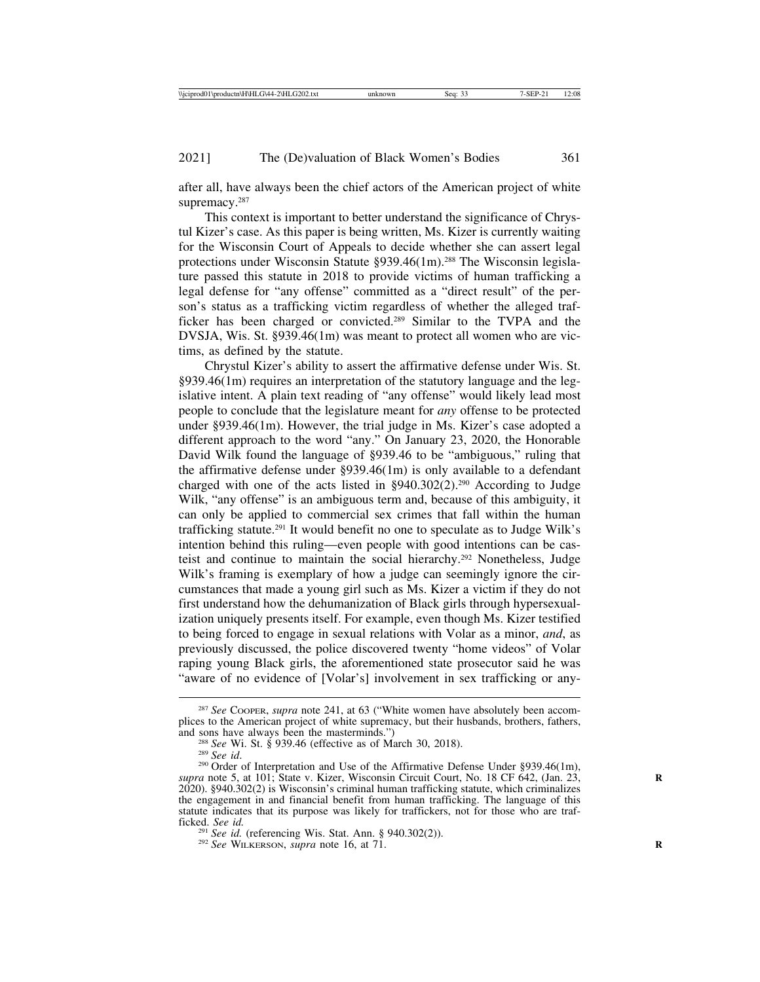after all, have always been the chief actors of the American project of white supremacy.<sup>287</sup>

This context is important to better understand the significance of Chrystul Kizer's case. As this paper is being written, Ms. Kizer is currently waiting for the Wisconsin Court of Appeals to decide whether she can assert legal protections under Wisconsin Statute §939.46(1m).<sup>288</sup> The Wisconsin legislature passed this statute in 2018 to provide victims of human trafficking a legal defense for "any offense" committed as a "direct result" of the person's status as a trafficking victim regardless of whether the alleged trafficker has been charged or convicted.289 Similar to the TVPA and the DVSJA, Wis. St. §939.46(1m) was meant to protect all women who are victims, as defined by the statute.

Chrystul Kizer's ability to assert the affirmative defense under Wis. St. §939.46(1m) requires an interpretation of the statutory language and the legislative intent. A plain text reading of "any offense" would likely lead most people to conclude that the legislature meant for *any* offense to be protected under §939.46(1m). However, the trial judge in Ms. Kizer's case adopted a different approach to the word "any." On January 23, 2020, the Honorable David Wilk found the language of §939.46 to be "ambiguous," ruling that the affirmative defense under §939.46(1m) is only available to a defendant charged with one of the acts listed in §940.302(2).<sup>290</sup> According to Judge Wilk, "any offense" is an ambiguous term and, because of this ambiguity, it can only be applied to commercial sex crimes that fall within the human trafficking statute.291 It would benefit no one to speculate as to Judge Wilk's intention behind this ruling—even people with good intentions can be casteist and continue to maintain the social hierarchy.292 Nonetheless, Judge Wilk's framing is exemplary of how a judge can seemingly ignore the circumstances that made a young girl such as Ms. Kizer a victim if they do not first understand how the dehumanization of Black girls through hypersexualization uniquely presents itself. For example, even though Ms. Kizer testified to being forced to engage in sexual relations with Volar as a minor, *and*, as previously discussed, the police discovered twenty "home videos" of Volar raping young Black girls, the aforementioned state prosecutor said he was "aware of no evidence of [Volar's] involvement in sex trafficking or any-

<sup>287</sup> *See* COOPER, *supra* note 241, at 63 ("White women have absolutely been accomplices to the American project of white supremacy, but their husbands, brothers, fathers, and sons have always been the masterminds.")

<sup>&</sup>lt;sup>288</sup> *See* Wi. St. § 939.46 (effective as of March 30, 2018).<br><sup>289</sup> *See id.* 290 Order of Interpretation and Use of the Affirmative Defense Under §939.46(1m), *supra* note 5, at 101; State v. Kizer, Wisconsin Circuit Court, No. 18 CF 642, (Jan. 23, 2020). §940.302(2) is Wisconsin's criminal human trafficking statute, which criminalizes the engagement in and financial benefit from human trafficking. The language of this statute indicates that its purpose was likely for traffickers, not for those who are trafficked. *See id.* (referencing Wis. Stat. Ann. § 940.302(2)). <sup>292</sup> *See* WILKERSON, *supra* note 16, at 71.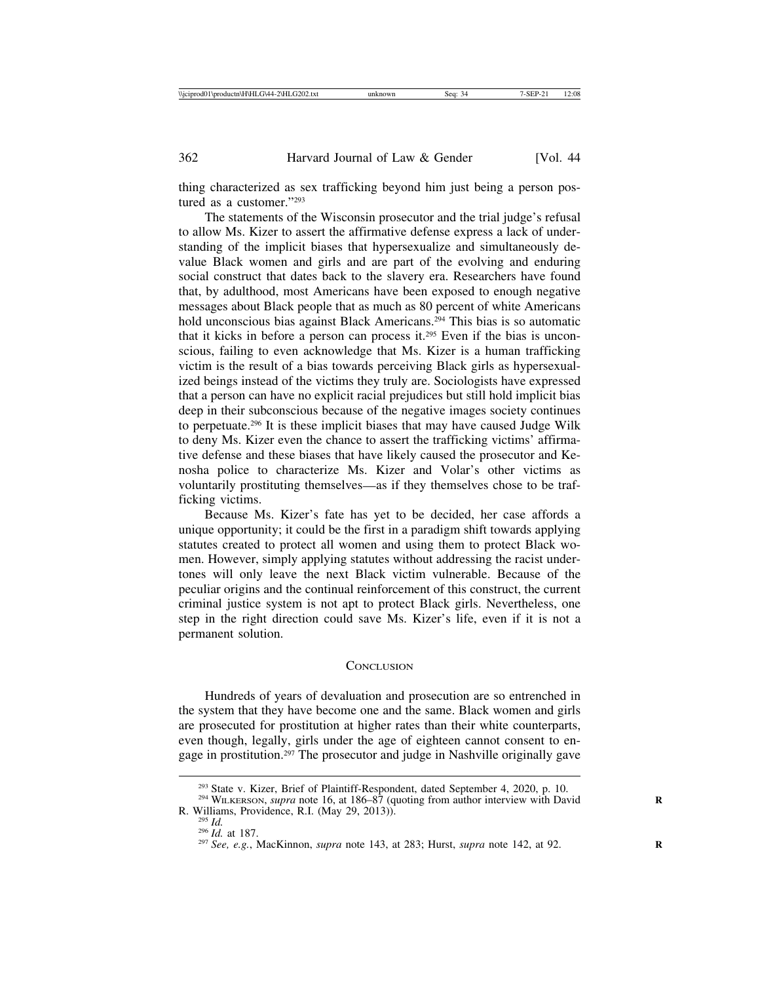thing characterized as sex trafficking beyond him just being a person postured as a customer."293

The statements of the Wisconsin prosecutor and the trial judge's refusal to allow Ms. Kizer to assert the affirmative defense express a lack of understanding of the implicit biases that hypersexualize and simultaneously devalue Black women and girls and are part of the evolving and enduring social construct that dates back to the slavery era. Researchers have found that, by adulthood, most Americans have been exposed to enough negative messages about Black people that as much as 80 percent of white Americans hold unconscious bias against Black Americans.<sup>294</sup> This bias is so automatic that it kicks in before a person can process it.295 Even if the bias is unconscious, failing to even acknowledge that Ms. Kizer is a human trafficking victim is the result of a bias towards perceiving Black girls as hypersexualized beings instead of the victims they truly are. Sociologists have expressed that a person can have no explicit racial prejudices but still hold implicit bias deep in their subconscious because of the negative images society continues to perpetuate.296 It is these implicit biases that may have caused Judge Wilk to deny Ms. Kizer even the chance to assert the trafficking victims' affirmative defense and these biases that have likely caused the prosecutor and Kenosha police to characterize Ms. Kizer and Volar's other victims as voluntarily prostituting themselves—as if they themselves chose to be trafficking victims.

Because Ms. Kizer's fate has yet to be decided, her case affords a unique opportunity; it could be the first in a paradigm shift towards applying statutes created to protect all women and using them to protect Black women. However, simply applying statutes without addressing the racist undertones will only leave the next Black victim vulnerable. Because of the peculiar origins and the continual reinforcement of this construct, the current criminal justice system is not apt to protect Black girls. Nevertheless, one step in the right direction could save Ms. Kizer's life, even if it is not a permanent solution.

#### CONCLUSION

Hundreds of years of devaluation and prosecution are so entrenched in the system that they have become one and the same. Black women and girls are prosecuted for prostitution at higher rates than their white counterparts, even though, legally, girls under the age of eighteen cannot consent to engage in prostitution.297 The prosecutor and judge in Nashville originally gave

<sup>&</sup>lt;sup>293</sup> State v. Kizer, Brief of Plaintiff-Respondent, dated September 4, 2020, p. 10.<br><sup>294</sup> WILKERSON, *supra* note 16, at 186–87 (quoting from author interview with David R. Williams, Providence, R.I. (May 29, 2013)).

R. Williams, Providence, R.I. (May 29, 2013)). <sup>295</sup> *Id.* <sup>296</sup> *Id.* at 187. <sup>297</sup> *See, e.g.*, MacKinnon, *supra* note 143, at 283; Hurst, *supra* note 142, at 92. **<sup>R</sup>**